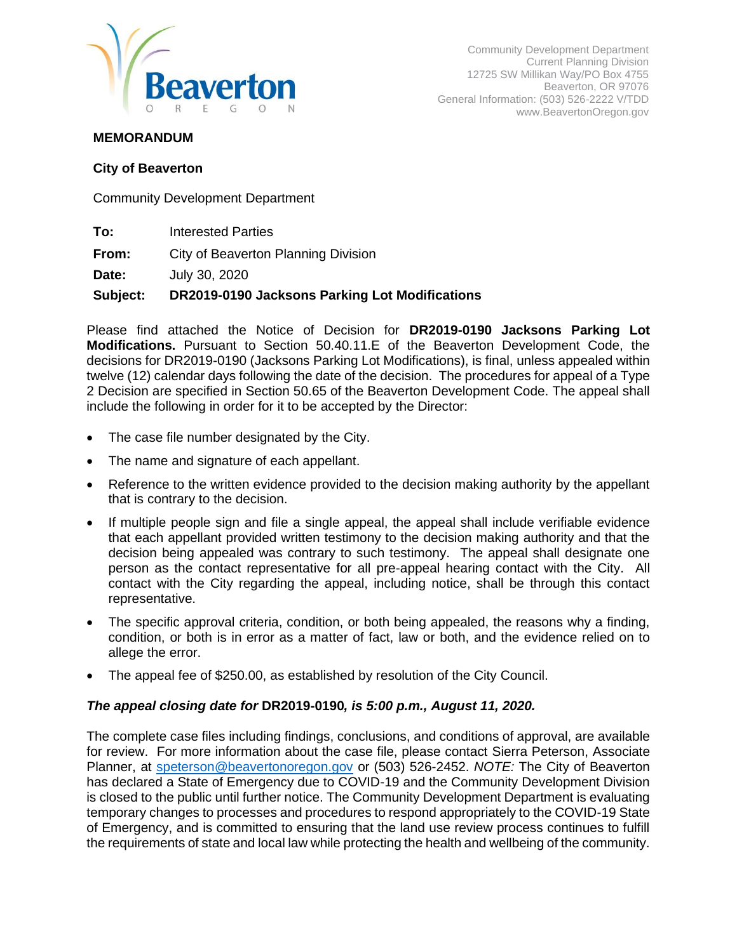

Community Development Department Current Planning Division 12725 SW Millikan Way/PO Box 4755 Beaverton, OR 97076 General Information: (503) 526-2222 V/TDD www.BeavertonOregon.gov

#### **MEMORANDUM**

#### **City of Beaverton**

Community Development Department

- **To:** Interested Parties
- **From:** City of Beaverton Planning Division

**Date:** July 30, 2020

#### **Subject: DR2019-0190 Jacksons Parking Lot Modifications**

Please find attached the Notice of Decision for **DR2019-0190 Jacksons Parking Lot Modifications.** Pursuant to Section 50.40.11.E of the Beaverton Development Code, the decisions for DR2019-0190 (Jacksons Parking Lot Modifications), is final, unless appealed within twelve (12) calendar days following the date of the decision. The procedures for appeal of a Type 2 Decision are specified in Section 50.65 of the Beaverton Development Code. The appeal shall include the following in order for it to be accepted by the Director:

- The case file number designated by the City.
- The name and signature of each appellant.
- Reference to the written evidence provided to the decision making authority by the appellant that is contrary to the decision.
- If multiple people sign and file a single appeal, the appeal shall include verifiable evidence that each appellant provided written testimony to the decision making authority and that the decision being appealed was contrary to such testimony. The appeal shall designate one person as the contact representative for all pre-appeal hearing contact with the City. All contact with the City regarding the appeal, including notice, shall be through this contact representative.
- The specific approval criteria, condition, or both being appealed, the reasons why a finding, condition, or both is in error as a matter of fact, law or both, and the evidence relied on to allege the error.
- The appeal fee of \$250.00, as established by resolution of the City Council.

#### *The appeal closing date for* **DR2019-0190***, is 5:00 p.m., August 11, 2020.*

The complete case files including findings, conclusions, and conditions of approval, are available for review. For more information about the case file, please contact Sierra Peterson, Associate Planner, at [speterson@beavertonoregon.gov](mailto:speterson@beavertonoregon.gov) or (503) 526-2452. *NOTE:* The City of Beaverton has declared a State of Emergency due to COVID-19 and the Community Development Division is closed to the public until further notice. The Community Development Department is evaluating temporary changes to processes and procedures to respond appropriately to the COVID-19 State of Emergency, and is committed to ensuring that the land use review process continues to fulfill the requirements of state and local law while protecting the health and wellbeing of the community.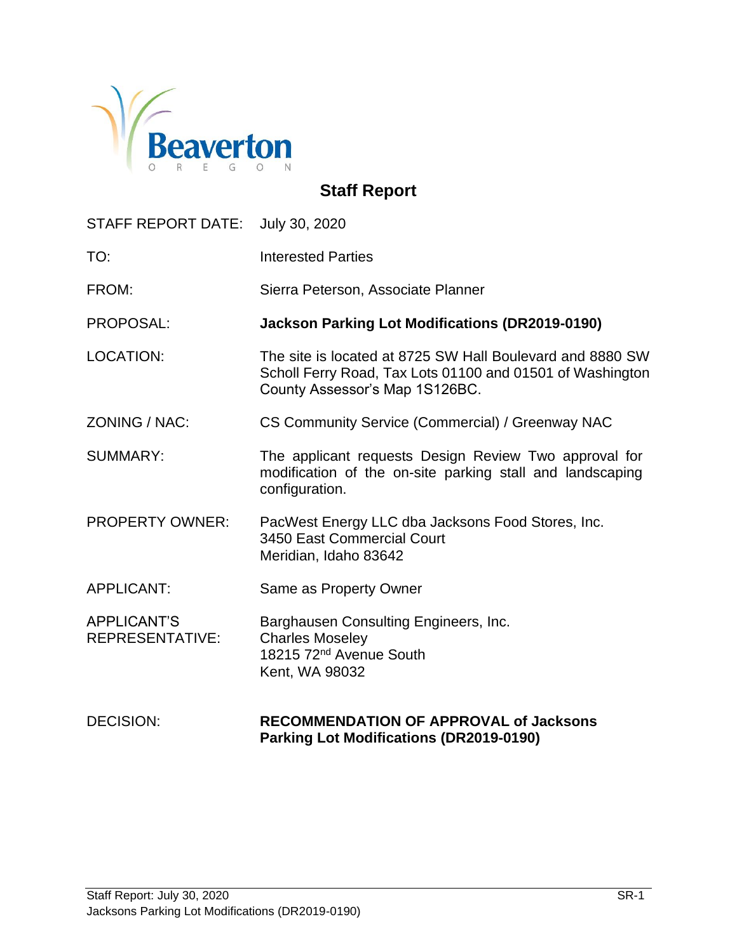

# **Staff Report**

STAFF REPORT DATE: July 30, 2020

| TO: | <b>Interested Parties</b> |
|-----|---------------------------|
|     |                           |

FROM: Sierra Peterson, Associate Planner

PROPOSAL: **Jackson Parking Lot Modifications (DR2019-0190)**

- LOCATION: The site is located at 8725 SW Hall Boulevard and 8880 SW Scholl Ferry Road, Tax Lots 01100 and 01501 of Washington County Assessor's Map 1S126BC.
- ZONING / NAC: CS Community Service (Commercial) / Greenway NAC
- SUMMARY: The applicant requests Design Review Two approval for modification of the on-site parking stall and landscaping configuration.
- PROPERTY OWNER: PacWest Energy LLC dba Jacksons Food Stores, Inc. 3450 East Commercial Court Meridian, Idaho 83642
- APPLICANT: Same as Property Owner

APPLICANT'S Barghausen Consulting Engineers, Inc. REPRESENTATIVE: Charles Moseley 18215 72<sup>nd</sup> Avenue South Kent, WA 98032

#### DECISION: **RECOMMENDATION OF APPROVAL of Jacksons Parking Lot Modifications (DR2019-0190)**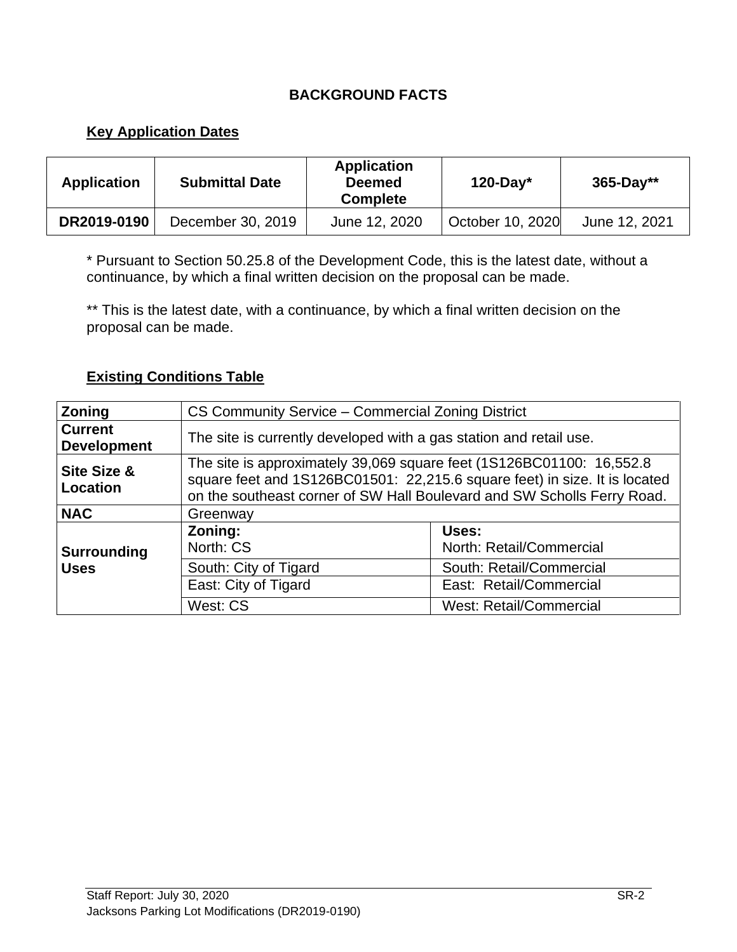## **BACKGROUND FACTS**

#### **Key Application Dates**

| <b>Application</b> | <b>Submittal Date</b> | <b>Application</b><br><b>Deemed</b><br><b>Complete</b> | $120$ -Day*      | $365 - Day**$ |
|--------------------|-----------------------|--------------------------------------------------------|------------------|---------------|
| DR2019-0190        | December 30, 2019     | June 12, 2020                                          | October 10, 2020 | June 12, 2021 |

\* Pursuant to Section 50.25.8 of the Development Code, this is the latest date, without a continuance, by which a final written decision on the proposal can be made.

\*\* This is the latest date, with a continuance, by which a final written decision on the proposal can be made.

#### **Existing Conditions Table**

| <b>Zoning</b>                                                | CS Community Service - Commercial Zoning District                                                                                                                                                                             |                                   |  |
|--------------------------------------------------------------|-------------------------------------------------------------------------------------------------------------------------------------------------------------------------------------------------------------------------------|-----------------------------------|--|
| <b>Current</b><br><b>Development</b>                         | The site is currently developed with a gas station and retail use.                                                                                                                                                            |                                   |  |
| Site Size &<br>Location                                      | The site is approximately 39,069 square feet (1S126BC01100: 16,552.8<br>square feet and 1S126BC01501: 22,215.6 square feet) in size. It is located<br>on the southeast corner of SW Hall Boulevard and SW Scholls Ferry Road. |                                   |  |
| <b>NAC</b>                                                   | Greenway                                                                                                                                                                                                                      |                                   |  |
| Surrounding                                                  | Zoning:<br>North: CS                                                                                                                                                                                                          | Uses:<br>North: Retail/Commercial |  |
| South: City of Tigard<br><b>Uses</b><br>East: City of Tigard |                                                                                                                                                                                                                               | South: Retail/Commercial          |  |
|                                                              |                                                                                                                                                                                                                               | East: Retail/Commercial           |  |
|                                                              | West: CS                                                                                                                                                                                                                      | <b>West: Retail/Commercial</b>    |  |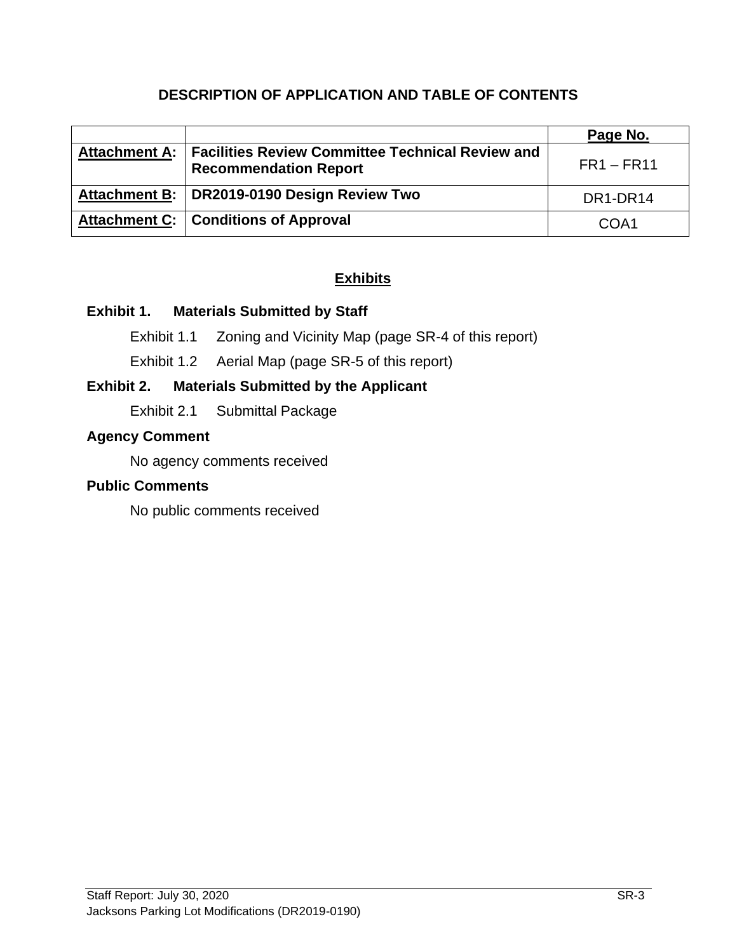## **DESCRIPTION OF APPLICATION AND TABLE OF CONTENTS**

|                                                                                                  | Page No.     |
|--------------------------------------------------------------------------------------------------|--------------|
| Attachment A:   Facilities Review Committee Technical Review and<br><b>Recommendation Report</b> | $FR1 - FR11$ |
| Attachment B:   DR2019-0190 Design Review Two                                                    | DR1-DR14     |
| Attachment C:   Conditions of Approval                                                           | COA1         |

## **Exhibits**

#### **Exhibit 1. Materials Submitted by Staff**

Exhibit 1.1 Zoning and Vicinity Map (page SR-4 of this report)

Exhibit 1.2 Aerial Map (page SR-5 of this report)

## **Exhibit 2. Materials Submitted by the Applicant**

Exhibit 2.1 Submittal Package

## **Agency Comment**

No agency comments received

#### **Public Comments**

No public comments received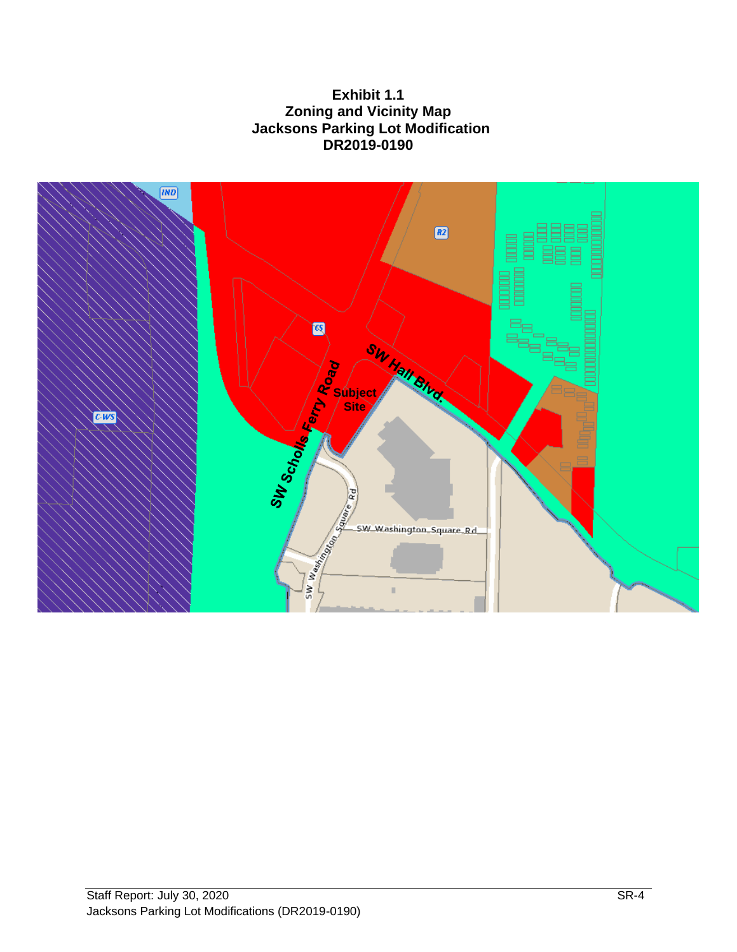**Exhibit 1.1 Zoning and Vicinity Map Jacksons Parking Lot Modification DR2019-0190**

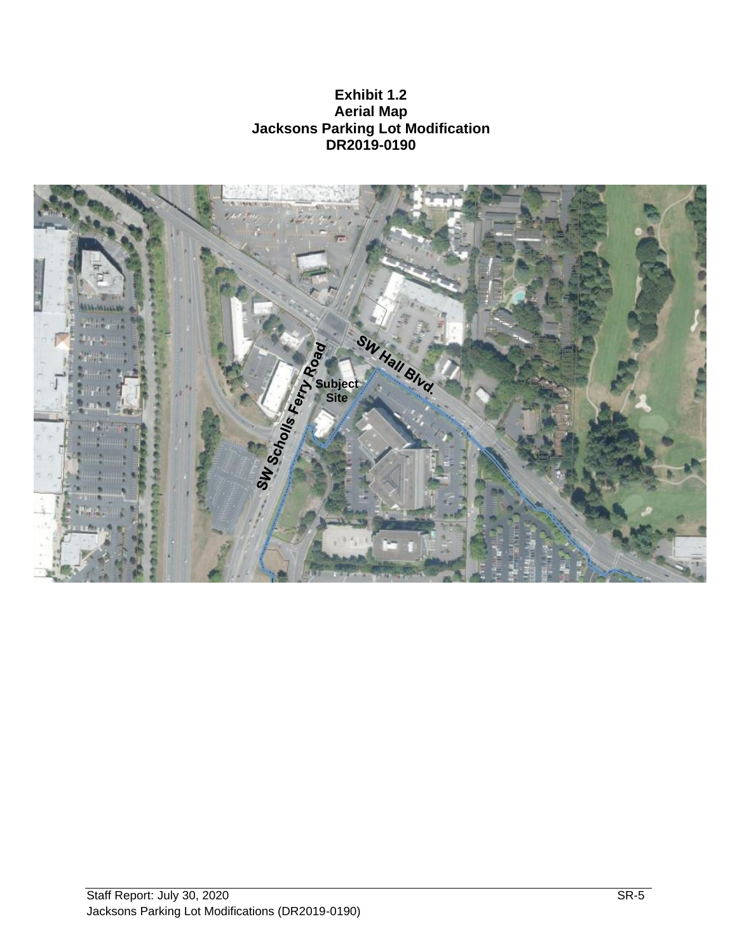**Exhibit 1.2 Aerial Map Jacksons Parking Lot Modification DR2019-0190**

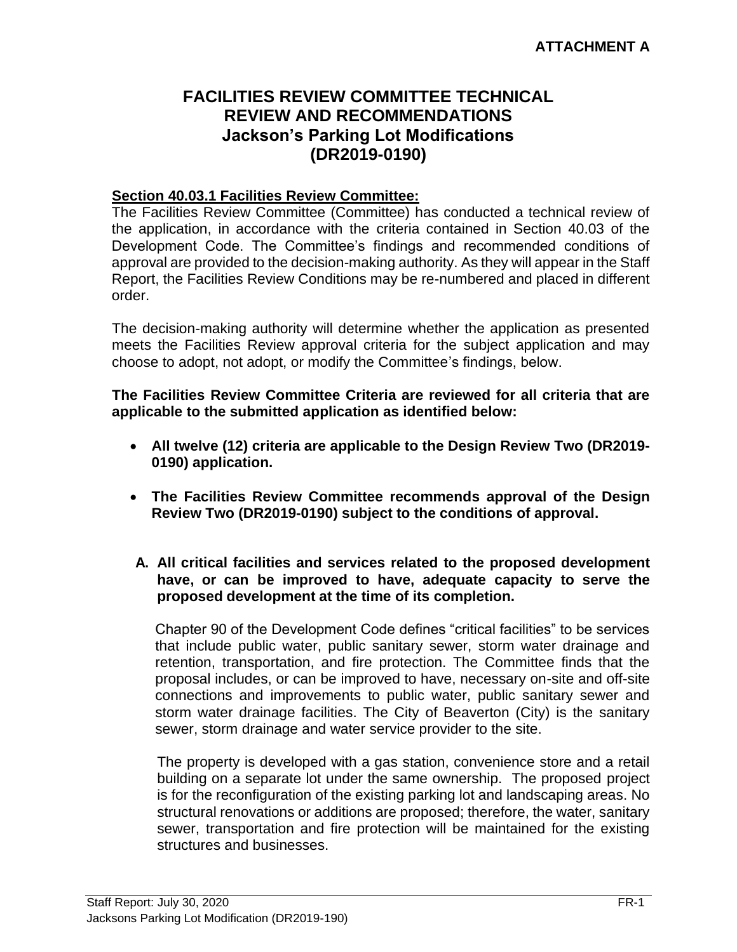## **FACILITIES REVIEW COMMITTEE TECHNICAL REVIEW AND RECOMMENDATIONS Jackson's Parking Lot Modifications (DR2019-0190)**

#### **Section 40.03.1 Facilities Review Committee:**

The Facilities Review Committee (Committee) has conducted a technical review of the application, in accordance with the criteria contained in Section 40.03 of the Development Code. The Committee's findings and recommended conditions of approval are provided to the decision-making authority. As they will appear in the Staff Report, the Facilities Review Conditions may be re-numbered and placed in different order.

The decision-making authority will determine whether the application as presented meets the Facilities Review approval criteria for the subject application and may choose to adopt, not adopt, or modify the Committee's findings, below.

**The Facilities Review Committee Criteria are reviewed for all criteria that are applicable to the submitted application as identified below:**

- **All twelve (12) criteria are applicable to the Design Review Two (DR2019- 0190) application.**
- **The Facilities Review Committee recommends approval of the Design Review Two (DR2019-0190) subject to the conditions of approval.**
- **A. All critical facilities and services related to the proposed development have, or can be improved to have, adequate capacity to serve the proposed development at the time of its completion.**

Chapter 90 of the Development Code defines "critical facilities" to be services that include public water, public sanitary sewer, storm water drainage and retention, transportation, and fire protection. The Committee finds that the proposal includes, or can be improved to have, necessary on-site and off-site connections and improvements to public water, public sanitary sewer and storm water drainage facilities. The City of Beaverton (City) is the sanitary sewer, storm drainage and water service provider to the site.

The property is developed with a gas station, convenience store and a retail building on a separate lot under the same ownership. The proposed project is for the reconfiguration of the existing parking lot and landscaping areas. No structural renovations or additions are proposed; therefore, the water, sanitary sewer, transportation and fire protection will be maintained for the existing structures and businesses.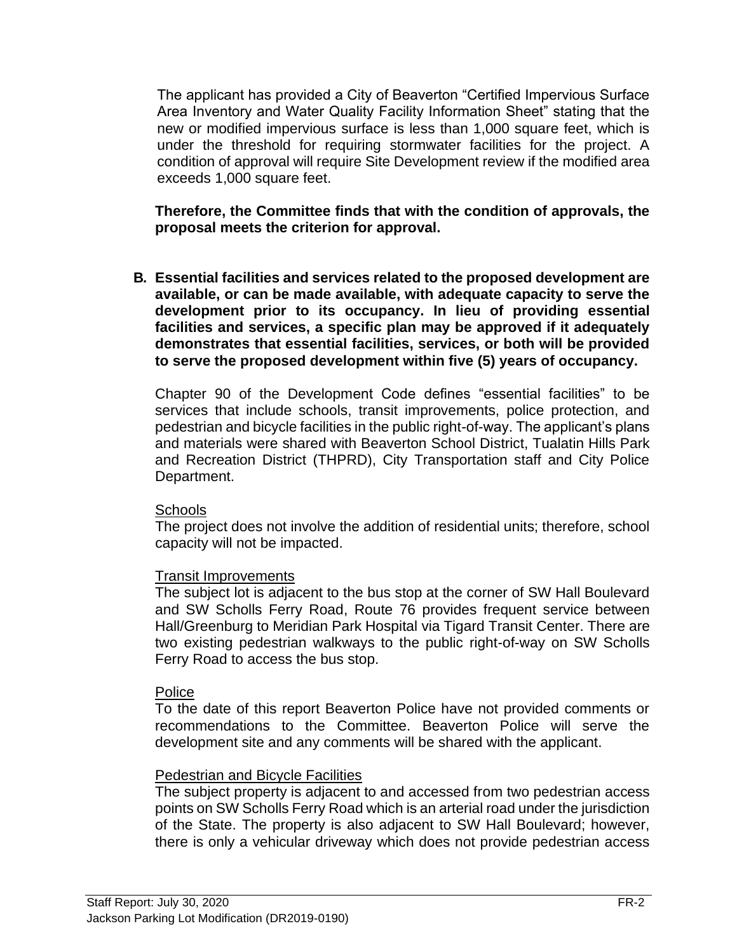The applicant has provided a City of Beaverton "Certified Impervious Surface Area Inventory and Water Quality Facility Information Sheet" stating that the new or modified impervious surface is less than 1,000 square feet, which is under the threshold for requiring stormwater facilities for the project. A condition of approval will require Site Development review if the modified area exceeds 1,000 square feet.

**Therefore, the Committee finds that with the condition of approvals, the proposal meets the criterion for approval.**

**B. Essential facilities and services related to the proposed development are available, or can be made available, with adequate capacity to serve the development prior to its occupancy. In lieu of providing essential facilities and services, a specific plan may be approved if it adequately demonstrates that essential facilities, services, or both will be provided to serve the proposed development within five (5) years of occupancy.**

Chapter 90 of the Development Code defines "essential facilities" to be services that include schools, transit improvements, police protection, and pedestrian and bicycle facilities in the public right-of-way. The applicant's plans and materials were shared with Beaverton School District, Tualatin Hills Park and Recreation District (THPRD), City Transportation staff and City Police Department.

#### **Schools**

The project does not involve the addition of residential units; therefore, school capacity will not be impacted.

#### Transit Improvements

The subject lot is adjacent to the bus stop at the corner of SW Hall Boulevard and SW Scholls Ferry Road, Route 76 provides frequent service between Hall/Greenburg to Meridian Park Hospital via Tigard Transit Center. There are two existing pedestrian walkways to the public right-of-way on SW Scholls Ferry Road to access the bus stop.

#### Police

To the date of this report Beaverton Police have not provided comments or recommendations to the Committee. Beaverton Police will serve the development site and any comments will be shared with the applicant.

#### Pedestrian and Bicycle Facilities

The subject property is adjacent to and accessed from two pedestrian access points on SW Scholls Ferry Road which is an arterial road under the jurisdiction of the State. The property is also adjacent to SW Hall Boulevard; however, there is only a vehicular driveway which does not provide pedestrian access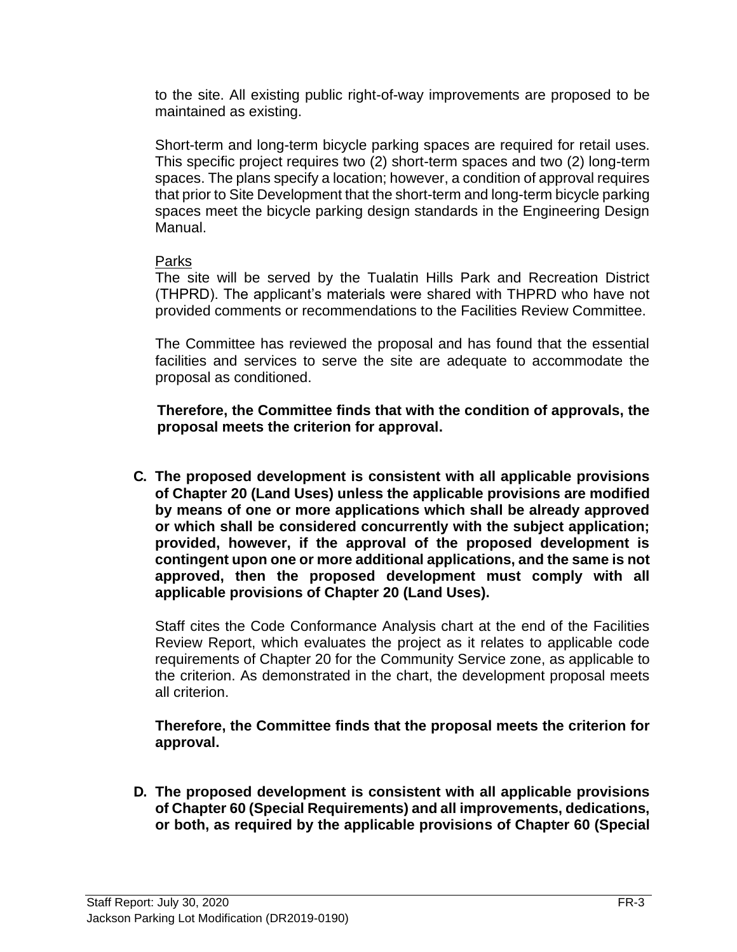to the site. All existing public right-of-way improvements are proposed to be maintained as existing.

Short-term and long-term bicycle parking spaces are required for retail uses. This specific project requires two (2) short-term spaces and two (2) long-term spaces. The plans specify a location; however, a condition of approval requires that prior to Site Development that the short-term and long-term bicycle parking spaces meet the bicycle parking design standards in the Engineering Design Manual.

#### Parks

The site will be served by the Tualatin Hills Park and Recreation District (THPRD). The applicant's materials were shared with THPRD who have not provided comments or recommendations to the Facilities Review Committee.

The Committee has reviewed the proposal and has found that the essential facilities and services to serve the site are adequate to accommodate the proposal as conditioned.

**Therefore, the Committee finds that with the condition of approvals, the proposal meets the criterion for approval.**

**C. The proposed development is consistent with all applicable provisions of Chapter 20 (Land Uses) unless the applicable provisions are modified by means of one or more applications which shall be already approved or which shall be considered concurrently with the subject application; provided, however, if the approval of the proposed development is contingent upon one or more additional applications, and the same is not approved, then the proposed development must comply with all applicable provisions of Chapter 20 (Land Uses).**

Staff cites the Code Conformance Analysis chart at the end of the Facilities Review Report, which evaluates the project as it relates to applicable code requirements of Chapter 20 for the Community Service zone, as applicable to the criterion. As demonstrated in the chart, the development proposal meets all criterion.

#### **Therefore, the Committee finds that the proposal meets the criterion for approval.**

**D. The proposed development is consistent with all applicable provisions of Chapter 60 (Special Requirements) and all improvements, dedications, or both, as required by the applicable provisions of Chapter 60 (Special**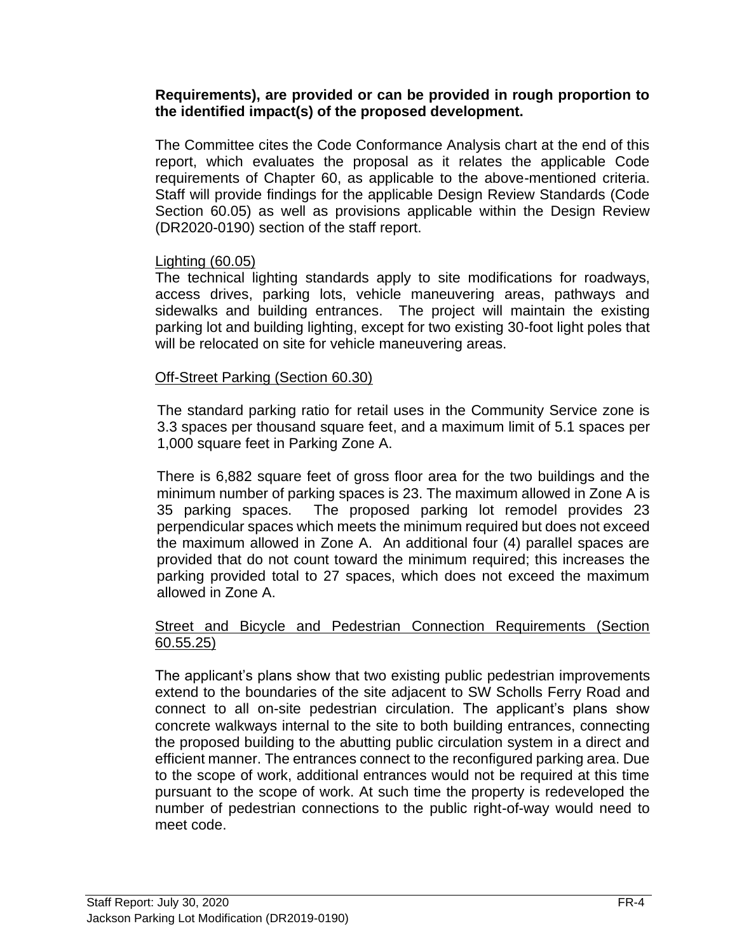#### **Requirements), are provided or can be provided in rough proportion to the identified impact(s) of the proposed development.**

The Committee cites the Code Conformance Analysis chart at the end of this report, which evaluates the proposal as it relates the applicable Code requirements of Chapter 60, as applicable to the above-mentioned criteria. Staff will provide findings for the applicable Design Review Standards (Code Section 60.05) as well as provisions applicable within the Design Review (DR2020-0190) section of the staff report.

#### Lighting (60.05)

The technical lighting standards apply to site modifications for roadways, access drives, parking lots, vehicle maneuvering areas, pathways and sidewalks and building entrances. The project will maintain the existing parking lot and building lighting, except for two existing 30-foot light poles that will be relocated on site for vehicle maneuvering areas.

#### Off-Street Parking (Section 60.30)

The standard parking ratio for retail uses in the Community Service zone is 3.3 spaces per thousand square feet, and a maximum limit of 5.1 spaces per 1,000 square feet in Parking Zone A.

There is 6,882 square feet of gross floor area for the two buildings and the minimum number of parking spaces is 23. The maximum allowed in Zone A is 35 parking spaces. The proposed parking lot remodel provides 23 perpendicular spaces which meets the minimum required but does not exceed the maximum allowed in Zone A. An additional four (4) parallel spaces are provided that do not count toward the minimum required; this increases the parking provided total to 27 spaces, which does not exceed the maximum allowed in Zone A.

#### Street and Bicycle and Pedestrian Connection Requirements (Section 60.55.25)

The applicant's plans show that two existing public pedestrian improvements extend to the boundaries of the site adjacent to SW Scholls Ferry Road and connect to all on-site pedestrian circulation. The applicant's plans show concrete walkways internal to the site to both building entrances, connecting the proposed building to the abutting public circulation system in a direct and efficient manner. The entrances connect to the reconfigured parking area. Due to the scope of work, additional entrances would not be required at this time pursuant to the scope of work. At such time the property is redeveloped the number of pedestrian connections to the public right-of-way would need to meet code.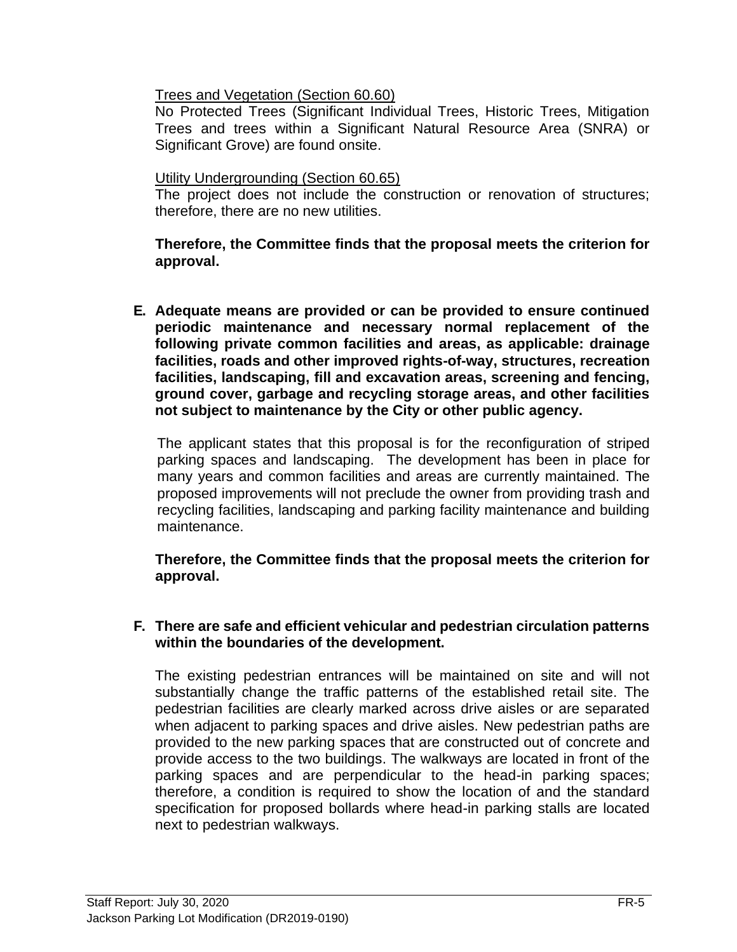Trees and Vegetation (Section 60.60)

No Protected Trees (Significant Individual Trees, Historic Trees, Mitigation Trees and trees within a Significant Natural Resource Area (SNRA) or Significant Grove) are found onsite.

#### Utility Undergrounding (Section 60.65)

The project does not include the construction or renovation of structures; therefore, there are no new utilities.

**Therefore, the Committee finds that the proposal meets the criterion for approval.**

**E. Adequate means are provided or can be provided to ensure continued periodic maintenance and necessary normal replacement of the following private common facilities and areas, as applicable: drainage facilities, roads and other improved rights-of-way, structures, recreation facilities, landscaping, fill and excavation areas, screening and fencing, ground cover, garbage and recycling storage areas, and other facilities not subject to maintenance by the City or other public agency.**

The applicant states that this proposal is for the reconfiguration of striped parking spaces and landscaping. The development has been in place for many years and common facilities and areas are currently maintained. The proposed improvements will not preclude the owner from providing trash and recycling facilities, landscaping and parking facility maintenance and building maintenance.

**Therefore, the Committee finds that the proposal meets the criterion for approval.**

#### **F. There are safe and efficient vehicular and pedestrian circulation patterns within the boundaries of the development.**

The existing pedestrian entrances will be maintained on site and will not substantially change the traffic patterns of the established retail site. The pedestrian facilities are clearly marked across drive aisles or are separated when adjacent to parking spaces and drive aisles. New pedestrian paths are provided to the new parking spaces that are constructed out of concrete and provide access to the two buildings. The walkways are located in front of the parking spaces and are perpendicular to the head-in parking spaces; therefore, a condition is required to show the location of and the standard specification for proposed bollards where head-in parking stalls are located next to pedestrian walkways.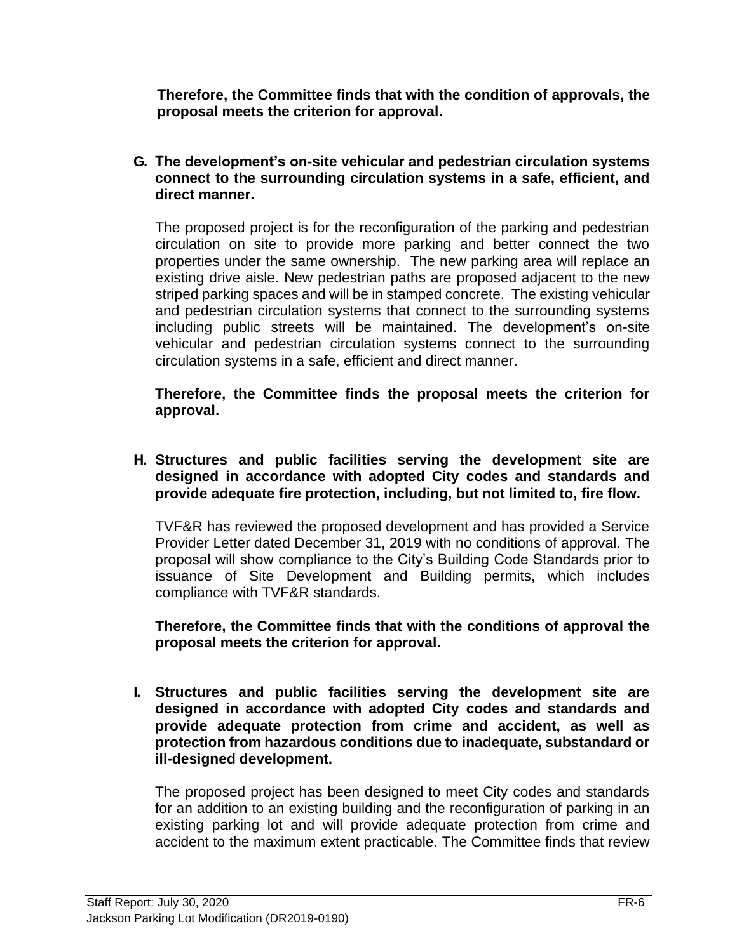**Therefore, the Committee finds that with the condition of approvals, the proposal meets the criterion for approval.**

**G. The development's on-site vehicular and pedestrian circulation systems connect to the surrounding circulation systems in a safe, efficient, and direct manner.**

The proposed project is for the reconfiguration of the parking and pedestrian circulation on site to provide more parking and better connect the two properties under the same ownership. The new parking area will replace an existing drive aisle. New pedestrian paths are proposed adjacent to the new striped parking spaces and will be in stamped concrete. The existing vehicular and pedestrian circulation systems that connect to the surrounding systems including public streets will be maintained. The development's on-site vehicular and pedestrian circulation systems connect to the surrounding circulation systems in a safe, efficient and direct manner.

**Therefore, the Committee finds the proposal meets the criterion for approval.**

**H. Structures and public facilities serving the development site are designed in accordance with adopted City codes and standards and provide adequate fire protection, including, but not limited to, fire flow.**

TVF&R has reviewed the proposed development and has provided a Service Provider Letter dated December 31, 2019 with no conditions of approval. The proposal will show compliance to the City's Building Code Standards prior to issuance of Site Development and Building permits, which includes compliance with TVF&R standards.

**Therefore, the Committee finds that with the conditions of approval the proposal meets the criterion for approval.**

**I. Structures and public facilities serving the development site are designed in accordance with adopted City codes and standards and provide adequate protection from crime and accident, as well as protection from hazardous conditions due to inadequate, substandard or ill-designed development.**

The proposed project has been designed to meet City codes and standards for an addition to an existing building and the reconfiguration of parking in an existing parking lot and will provide adequate protection from crime and accident to the maximum extent practicable. The Committee finds that review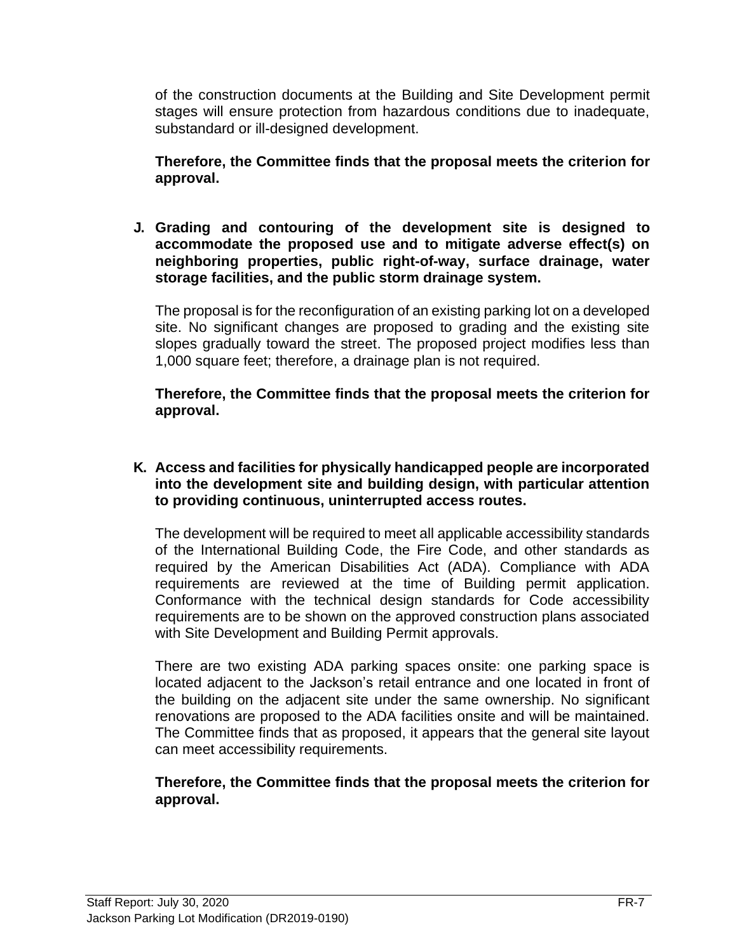of the construction documents at the Building and Site Development permit stages will ensure protection from hazardous conditions due to inadequate, substandard or ill-designed development.

**Therefore, the Committee finds that the proposal meets the criterion for approval.**

**J. Grading and contouring of the development site is designed to accommodate the proposed use and to mitigate adverse effect(s) on neighboring properties, public right-of-way, surface drainage, water storage facilities, and the public storm drainage system.**

The proposal is for the reconfiguration of an existing parking lot on a developed site. No significant changes are proposed to grading and the existing site slopes gradually toward the street. The proposed project modifies less than 1,000 square feet; therefore, a drainage plan is not required.

**Therefore, the Committee finds that the proposal meets the criterion for approval.**

**K. Access and facilities for physically handicapped people are incorporated into the development site and building design, with particular attention to providing continuous, uninterrupted access routes.**

The development will be required to meet all applicable accessibility standards of the International Building Code, the Fire Code, and other standards as required by the American Disabilities Act (ADA). Compliance with ADA requirements are reviewed at the time of Building permit application. Conformance with the technical design standards for Code accessibility requirements are to be shown on the approved construction plans associated with Site Development and Building Permit approvals.

There are two existing ADA parking spaces onsite: one parking space is located adjacent to the Jackson's retail entrance and one located in front of the building on the adjacent site under the same ownership. No significant renovations are proposed to the ADA facilities onsite and will be maintained. The Committee finds that as proposed, it appears that the general site layout can meet accessibility requirements.

#### **Therefore, the Committee finds that the proposal meets the criterion for approval.**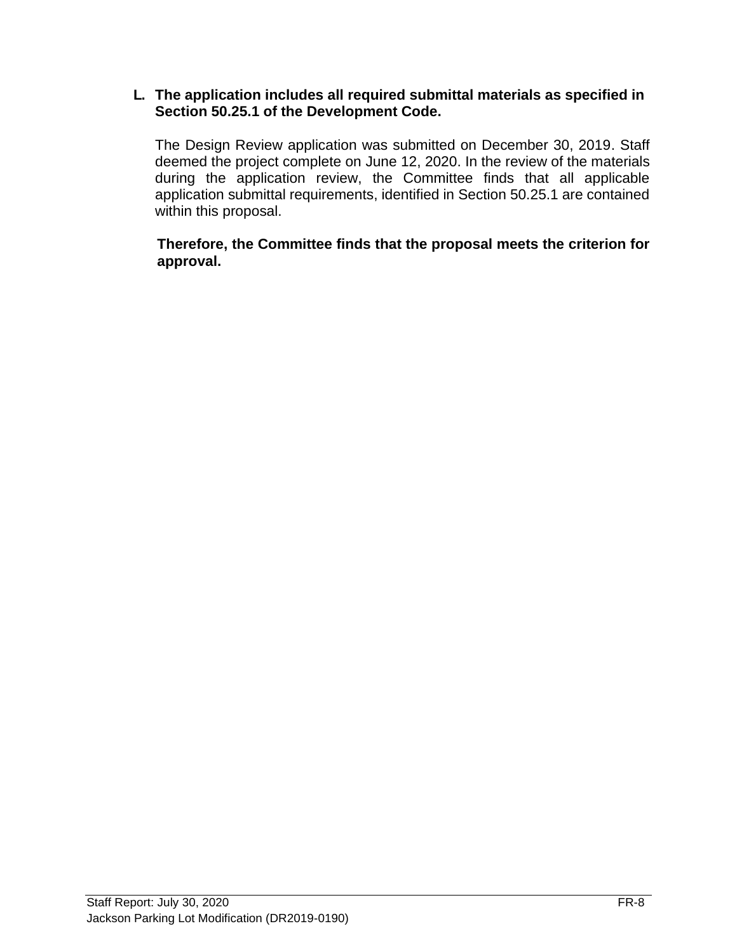#### **L. The application includes all required submittal materials as specified in Section 50.25.1 of the Development Code.**

The Design Review application was submitted on December 30, 2019. Staff deemed the project complete on June 12, 2020. In the review of the materials during the application review, the Committee finds that all applicable application submittal requirements, identified in Section 50.25.1 are contained within this proposal.

**Therefore, the Committee finds that the proposal meets the criterion for approval.**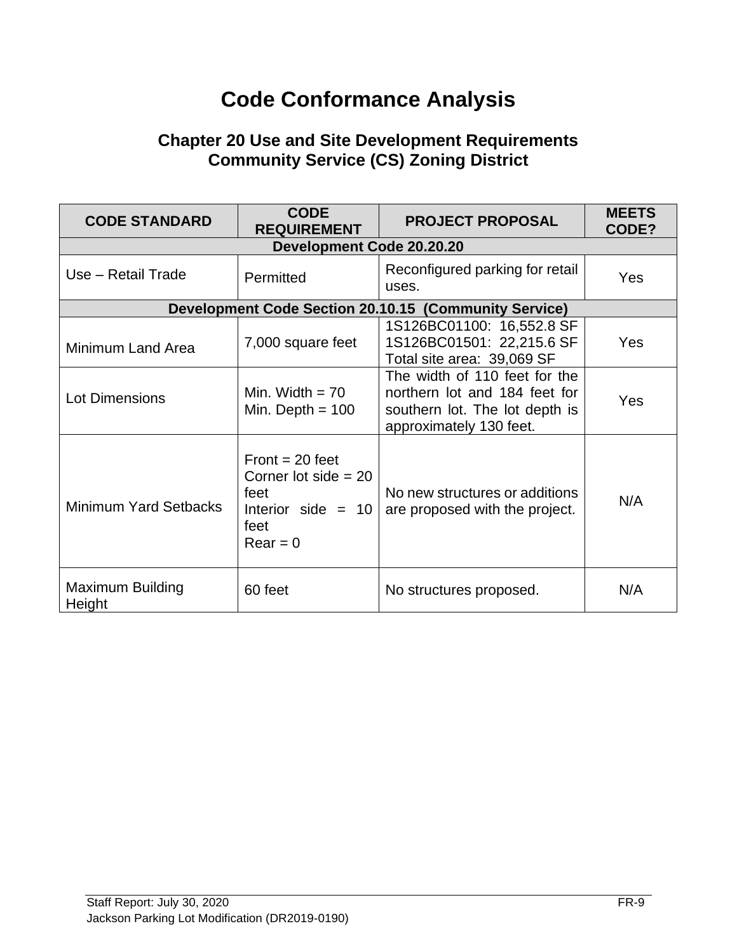# **Code Conformance Analysis**

## **Chapter 20 Use and Site Development Requirements Community Service (CS) Zoning District**

| <b>CODE STANDARD</b>              | <b>CODE</b><br><b>REQUIREMENT</b>                                                                 | <b>PROJECT PROPOSAL</b>                                                                                                     | <b>MEETS</b><br>CODE? |
|-----------------------------------|---------------------------------------------------------------------------------------------------|-----------------------------------------------------------------------------------------------------------------------------|-----------------------|
|                                   | Development Code 20.20.20                                                                         |                                                                                                                             |                       |
| Use - Retail Trade                | Permitted                                                                                         | Reconfigured parking for retail<br>uses.                                                                                    | <b>Yes</b>            |
|                                   |                                                                                                   | <b>Development Code Section 20.10.15 (Community Service)</b>                                                                |                       |
| Minimum Land Area                 | 7,000 square feet                                                                                 | 1S126BC01100: 16,552.8 SF<br>1S126BC01501: 22,215.6 SF<br>Total site area: 39,069 SF                                        | <b>Yes</b>            |
| <b>Lot Dimensions</b>             | Min. Width $= 70$<br>Min. Depth $= 100$                                                           | The width of 110 feet for the<br>northern lot and 184 feet for<br>southern lot. The lot depth is<br>approximately 130 feet. | Yes                   |
| <b>Minimum Yard Setbacks</b>      | Front = $20$ feet<br>Corner lot side $= 20$<br>feet<br>Interior side $= 10$<br>feet<br>$Rear = 0$ | No new structures or additions<br>are proposed with the project.                                                            | N/A                   |
| <b>Maximum Building</b><br>Height | 60 feet                                                                                           | No structures proposed.                                                                                                     | N/A                   |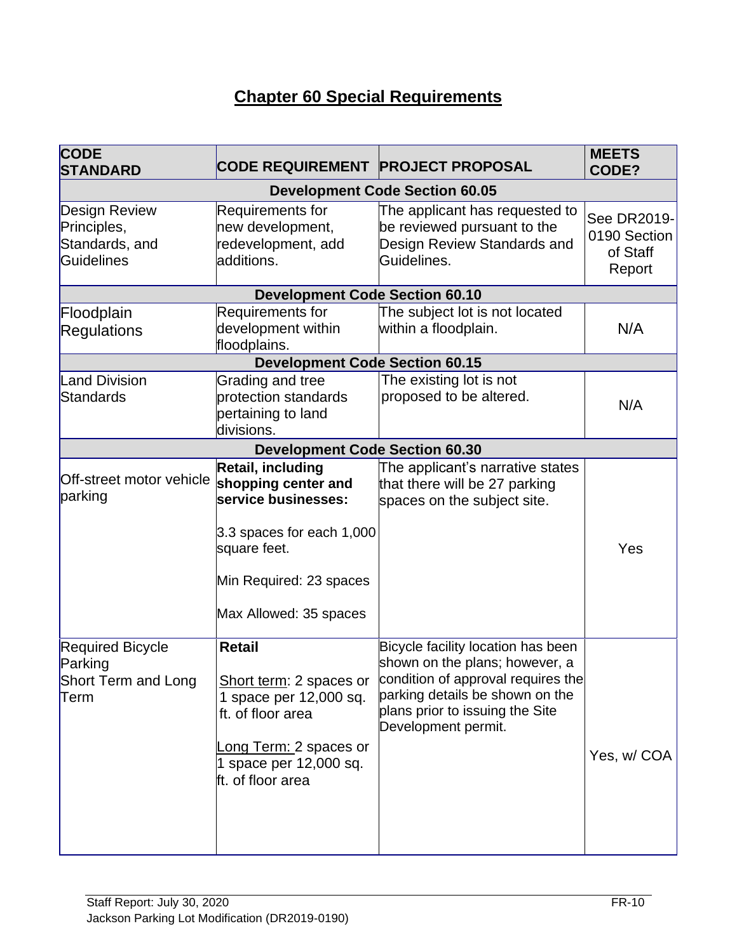# **Chapter 60 Special Requirements**

| <b>CODE</b><br><b>STANDARD</b>                                             | CODE REQUIREMENT PROJECT PROPOSAL                                                                                                                                 |                                                                                                                                                                                                         | <b>MEETS</b><br>CODE?                             |
|----------------------------------------------------------------------------|-------------------------------------------------------------------------------------------------------------------------------------------------------------------|---------------------------------------------------------------------------------------------------------------------------------------------------------------------------------------------------------|---------------------------------------------------|
|                                                                            |                                                                                                                                                                   | <b>Development Code Section 60.05</b>                                                                                                                                                                   |                                                   |
| <b>Design Review</b><br>Principles,<br>Standards, and<br><b>Guidelines</b> | Requirements for<br>new development,<br>redevelopment, add<br>additions.                                                                                          | The applicant has requested to<br>be reviewed pursuant to the<br>Design Review Standards and<br>Guidelines.                                                                                             | See DR2019-<br>0190 Section<br>of Staff<br>Report |
|                                                                            | <b>Development Code Section 60.10</b>                                                                                                                             |                                                                                                                                                                                                         |                                                   |
| Floodplain<br><b>Regulations</b>                                           | Requirements for<br>development within<br>floodplains.                                                                                                            | The subject lot is not located<br>within a floodplain.                                                                                                                                                  | N/A                                               |
|                                                                            | <b>Development Code Section 60.15</b>                                                                                                                             |                                                                                                                                                                                                         |                                                   |
| <b>Land Division</b><br>Standards                                          | Grading and tree<br>protection standards<br>pertaining to land<br>divisions.                                                                                      | The existing lot is not<br>proposed to be altered.                                                                                                                                                      | N/A                                               |
|                                                                            | <b>Development Code Section 60.30</b>                                                                                                                             |                                                                                                                                                                                                         |                                                   |
| Off-street motor vehicle<br>parking                                        | Retail, including<br>shopping center and<br>service businesses:<br>3.3 spaces for each 1,000<br>square feet.<br>Min Required: 23 spaces<br>Max Allowed: 35 spaces | The applicant's narrative states<br>that there will be 27 parking<br>spaces on the subject site.                                                                                                        | Yes                                               |
| <b>Required Bicycle</b><br>Parking<br>Short Term and Long<br>Term          | <b>Retail</b><br>Short term: 2 spaces or<br>1 space per 12,000 sq.<br>ft. of floor area<br>Long Term: 2 spaces or<br>1 space per 12,000 sq.<br>ft. of floor area  | Bicycle facility location has been<br>shown on the plans; however, a<br>condition of approval requires the<br>parking details be shown on the<br>plans prior to issuing the Site<br>Development permit. | Yes, w/COA                                        |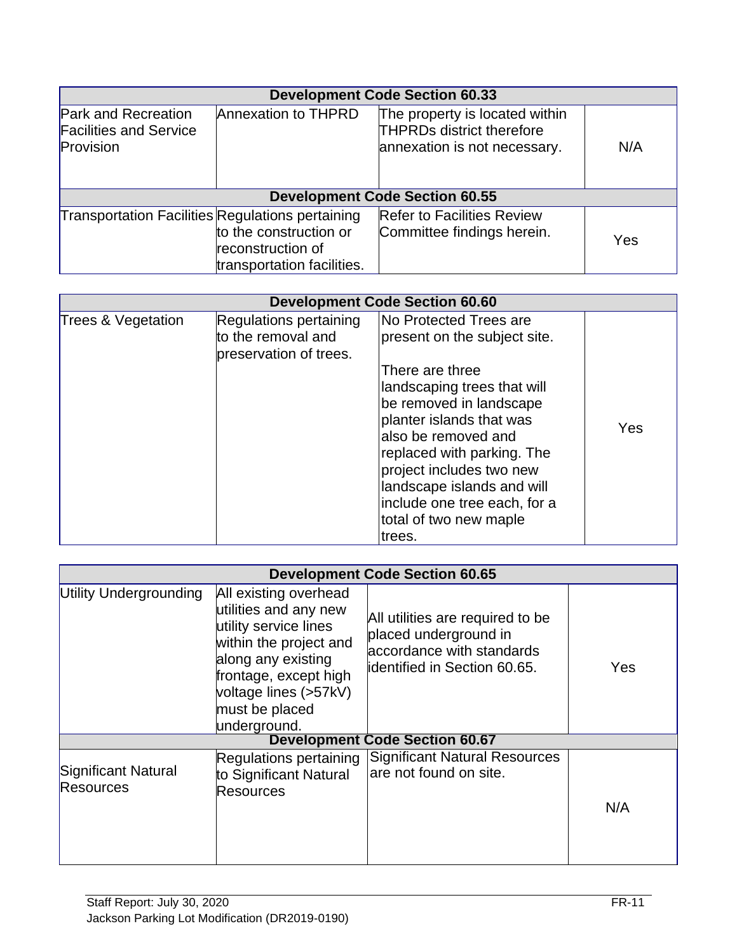| <b>Development Code Section 60.33</b>                                    |                                                                           |                                                                                                    |     |
|--------------------------------------------------------------------------|---------------------------------------------------------------------------|----------------------------------------------------------------------------------------------------|-----|
| <b>Park and Recreation</b><br><b>Facilities and Service</b><br>Provision | <b>Annexation to THPRD</b>                                                | The property is located within<br><b>THPRDs district therefore</b><br>annexation is not necessary. | N/A |
| <b>Development Code Section 60.55</b>                                    |                                                                           |                                                                                                    |     |
| Transportation Facilities Regulations pertaining                         | to the construction or<br>reconstruction of<br>transportation facilities. | <b>Refer to Facilities Review</b><br>Committee findings herein.                                    | Yes |

|                    |                                                                        | <b>Development Code Section 60.60</b>                                                                                                                                                                                                                                                                                                    |     |
|--------------------|------------------------------------------------------------------------|------------------------------------------------------------------------------------------------------------------------------------------------------------------------------------------------------------------------------------------------------------------------------------------------------------------------------------------|-----|
| Trees & Vegetation | Regulations pertaining<br>to the removal and<br>preservation of trees. | No Protected Trees are<br>present on the subject site.<br>There are three<br>landscaping trees that will<br>be removed in landscape<br>planter islands that was<br>also be removed and<br>replaced with parking. The<br>project includes two new<br>landscape islands and will<br>include one tree each, for a<br>total of two new maple | Yes |
|                    |                                                                        | trees.                                                                                                                                                                                                                                                                                                                                   |     |

|                                         | <b>Development Code Section 60.65</b>                                                                                                                                                                       |                                                                                                                               |     |  |
|-----------------------------------------|-------------------------------------------------------------------------------------------------------------------------------------------------------------------------------------------------------------|-------------------------------------------------------------------------------------------------------------------------------|-----|--|
| Utility Undergrounding                  | All existing overhead<br>utilities and any new<br>utility service lines<br>within the project and<br>along any existing<br>frontage, except high<br>voltage lines (>57kV)<br>must be placed<br>underground. | All utilities are required to be<br>placed underground in<br>accordance with standards<br><b>identified in Section 60.65.</b> | Yes |  |
|                                         |                                                                                                                                                                                                             | <b>Development Code Section 60.67</b>                                                                                         |     |  |
| Significant Natural<br><b>Resources</b> | Regulations pertaining<br>to Significant Natural<br><b>Resources</b>                                                                                                                                        | <b>Significant Natural Resources</b><br>lare not found on site.                                                               | N/A |  |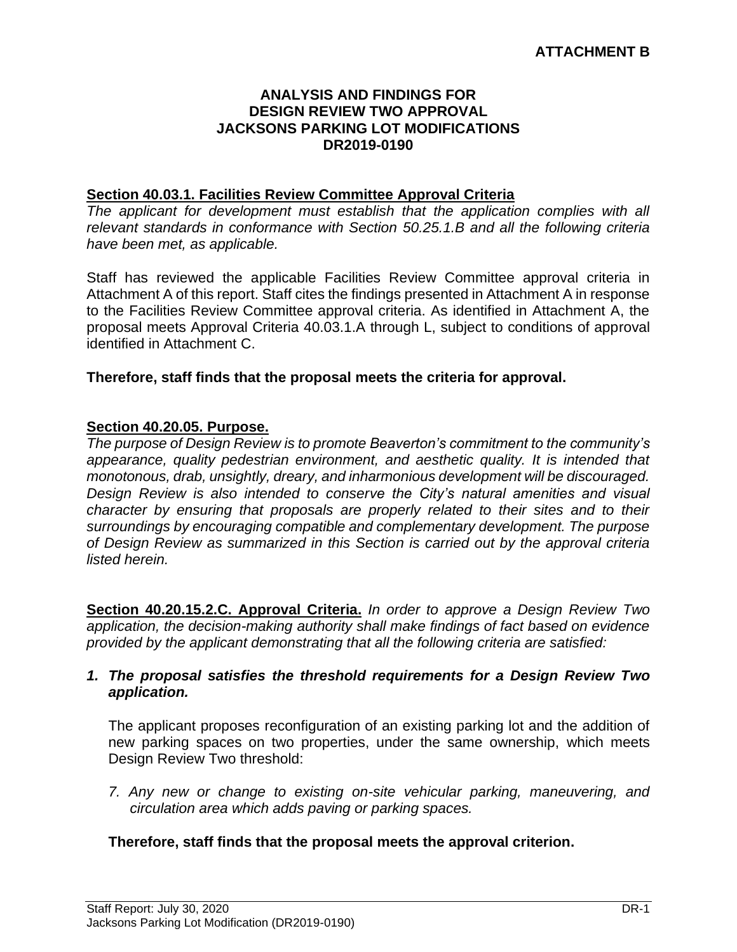#### **ANALYSIS AND FINDINGS FOR DESIGN REVIEW TWO APPROVAL JACKSONS PARKING LOT MODIFICATIONS DR2019-0190**

#### **Section 40.03.1. Facilities Review Committee Approval Criteria**

*The applicant for development must establish that the application complies with all relevant standards in conformance with Section 50.25.1.B and all the following criteria have been met, as applicable.* 

Staff has reviewed the applicable Facilities Review Committee approval criteria in Attachment A of this report. Staff cites the findings presented in Attachment A in response to the Facilities Review Committee approval criteria. As identified in Attachment A, the proposal meets Approval Criteria 40.03.1.A through L, subject to conditions of approval identified in Attachment C.

#### **Therefore, staff finds that the proposal meets the criteria for approval.**

#### **Section 40.20.05. Purpose.**

*The purpose of Design Review is to promote Beaverton's commitment to the community's appearance, quality pedestrian environment, and aesthetic quality. It is intended that monotonous, drab, unsightly, dreary, and inharmonious development will be discouraged. Design Review is also intended to conserve the City's natural amenities and visual character by ensuring that proposals are properly related to their sites and to their surroundings by encouraging compatible and complementary development. The purpose of Design Review as summarized in this Section is carried out by the approval criteria listed herein.*

**Section 40.20.15.2.C. Approval Criteria.** *In order to approve a Design Review Two application, the decision-making authority shall make findings of fact based on evidence provided by the applicant demonstrating that all the following criteria are satisfied:*

#### *1. The proposal satisfies the threshold requirements for a Design Review Two application.*

The applicant proposes reconfiguration of an existing parking lot and the addition of new parking spaces on two properties, under the same ownership, which meets Design Review Two threshold:

*7. Any new or change to existing on-site vehicular parking, maneuvering, and circulation area which adds paving or parking spaces.*

#### **Therefore, staff finds that the proposal meets the approval criterion.**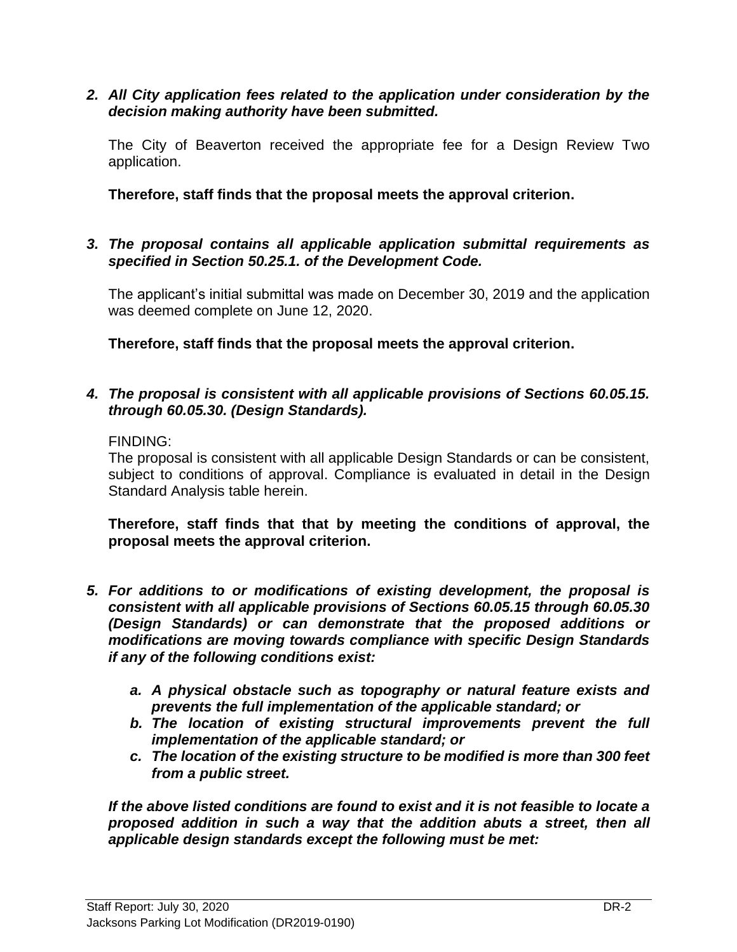#### *2. All City application fees related to the application under consideration by the decision making authority have been submitted.*

The City of Beaverton received the appropriate fee for a Design Review Two application.

**Therefore, staff finds that the proposal meets the approval criterion.**

*3. The proposal contains all applicable application submittal requirements as specified in Section 50.25.1. of the Development Code.*

The applicant's initial submittal was made on December 30, 2019 and the application was deemed complete on June 12, 2020.

**Therefore, staff finds that the proposal meets the approval criterion.**

#### *4. The proposal is consistent with all applicable provisions of Sections 60.05.15. through 60.05.30. (Design Standards).*

FINDING:

The proposal is consistent with all applicable Design Standards or can be consistent, subject to conditions of approval. Compliance is evaluated in detail in the Design Standard Analysis table herein.

**Therefore, staff finds that that by meeting the conditions of approval, the proposal meets the approval criterion.**

- *5. For additions to or modifications of existing development, the proposal is consistent with all applicable provisions of Sections 60.05.15 through 60.05.30 (Design Standards) or can demonstrate that the proposed additions or modifications are moving towards compliance with specific Design Standards if any of the following conditions exist:*
	- *a. A physical obstacle such as topography or natural feature exists and prevents the full implementation of the applicable standard; or*
	- *b. The location of existing structural improvements prevent the full implementation of the applicable standard; or*
	- *c. The location of the existing structure to be modified is more than 300 feet from a public street.*

*If the above listed conditions are found to exist and it is not feasible to locate a proposed addition in such a way that the addition abuts a street, then all applicable design standards except the following must be met:*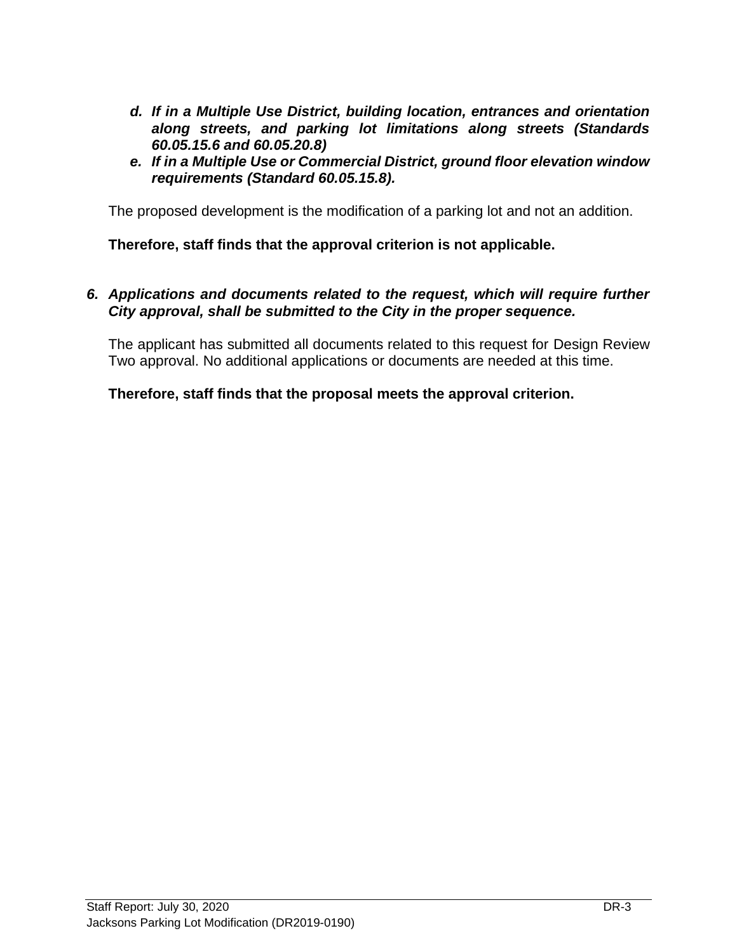- *d. If in a Multiple Use District, building location, entrances and orientation along streets, and parking lot limitations along streets (Standards 60.05.15.6 and 60.05.20.8)*
- *e. If in a Multiple Use or Commercial District, ground floor elevation window requirements (Standard 60.05.15.8).*

The proposed development is the modification of a parking lot and not an addition.

**Therefore, staff finds that the approval criterion is not applicable.**

#### *6. Applications and documents related to the request, which will require further City approval, shall be submitted to the City in the proper sequence.*

The applicant has submitted all documents related to this request for Design Review Two approval. No additional applications or documents are needed at this time.

#### **Therefore, staff finds that the proposal meets the approval criterion.**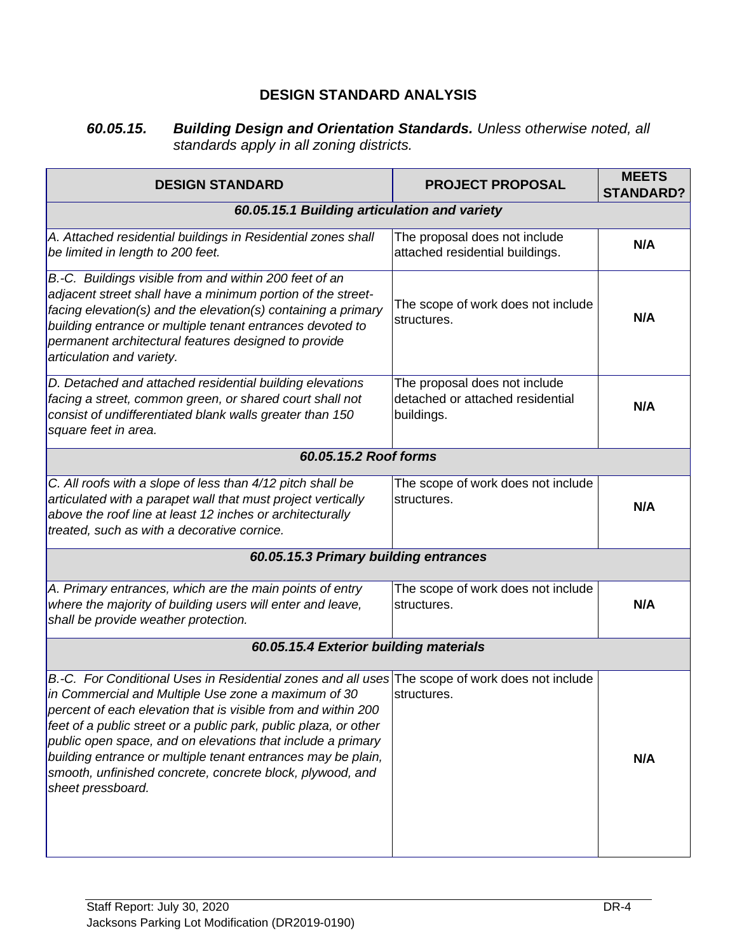## **DESIGN STANDARD ANALYSIS**

#### *60.05.15. Building Design and Orientation Standards. Unless otherwise noted, all standards apply in all zoning districts.*

| <b>DESIGN STANDARD</b>                                                                                                                                                                                                                                                                                                                                                                                                                                                                                       | <b>PROJECT PROPOSAL</b>                                                         | <b>MEETS</b><br><b>STANDARD?</b> |
|--------------------------------------------------------------------------------------------------------------------------------------------------------------------------------------------------------------------------------------------------------------------------------------------------------------------------------------------------------------------------------------------------------------------------------------------------------------------------------------------------------------|---------------------------------------------------------------------------------|----------------------------------|
| 60.05.15.1 Building articulation and variety                                                                                                                                                                                                                                                                                                                                                                                                                                                                 |                                                                                 |                                  |
| A. Attached residential buildings in Residential zones shall<br>be limited in length to 200 feet.                                                                                                                                                                                                                                                                                                                                                                                                            | The proposal does not include<br>attached residential buildings.                | N/A                              |
| B.-C. Buildings visible from and within 200 feet of an<br>adjacent street shall have a minimum portion of the street-<br>facing elevation(s) and the elevation(s) containing a primary<br>building entrance or multiple tenant entrances devoted to<br>permanent architectural features designed to provide<br>articulation and variety.                                                                                                                                                                     | The scope of work does not include<br>structures.                               | N/A                              |
| D. Detached and attached residential building elevations<br>facing a street, common green, or shared court shall not<br>consist of undifferentiated blank walls greater than 150<br>square feet in area.                                                                                                                                                                                                                                                                                                     | The proposal does not include<br>detached or attached residential<br>buildings. | N/A                              |
| 60.05.15.2 Roof forms                                                                                                                                                                                                                                                                                                                                                                                                                                                                                        |                                                                                 |                                  |
| C. All roofs with a slope of less than 4/12 pitch shall be<br>articulated with a parapet wall that must project vertically<br>above the roof line at least 12 inches or architecturally<br>treated, such as with a decorative cornice.                                                                                                                                                                                                                                                                       | The scope of work does not include<br>structures.                               | N/A                              |
| 60.05.15.3 Primary building entrances                                                                                                                                                                                                                                                                                                                                                                                                                                                                        |                                                                                 |                                  |
| A. Primary entrances, which are the main points of entry<br>where the majority of building users will enter and leave,<br>shall be provide weather protection.                                                                                                                                                                                                                                                                                                                                               | The scope of work does not include<br>structures.                               | N/A                              |
| 60.05.15.4 Exterior building materials                                                                                                                                                                                                                                                                                                                                                                                                                                                                       |                                                                                 |                                  |
| B.-C. For Conditional Uses in Residential zones and all uses The scope of work does not include<br>in Commercial and Multiple Use zone a maximum of 30<br>percent of each elevation that is visible from and within 200<br>feet of a public street or a public park, public plaza, or other<br>public open space, and on elevations that include a primary<br>building entrance or multiple tenant entrances may be plain,<br>smooth, unfinished concrete, concrete block, plywood, and<br>sheet pressboard. | structures.                                                                     | N/A                              |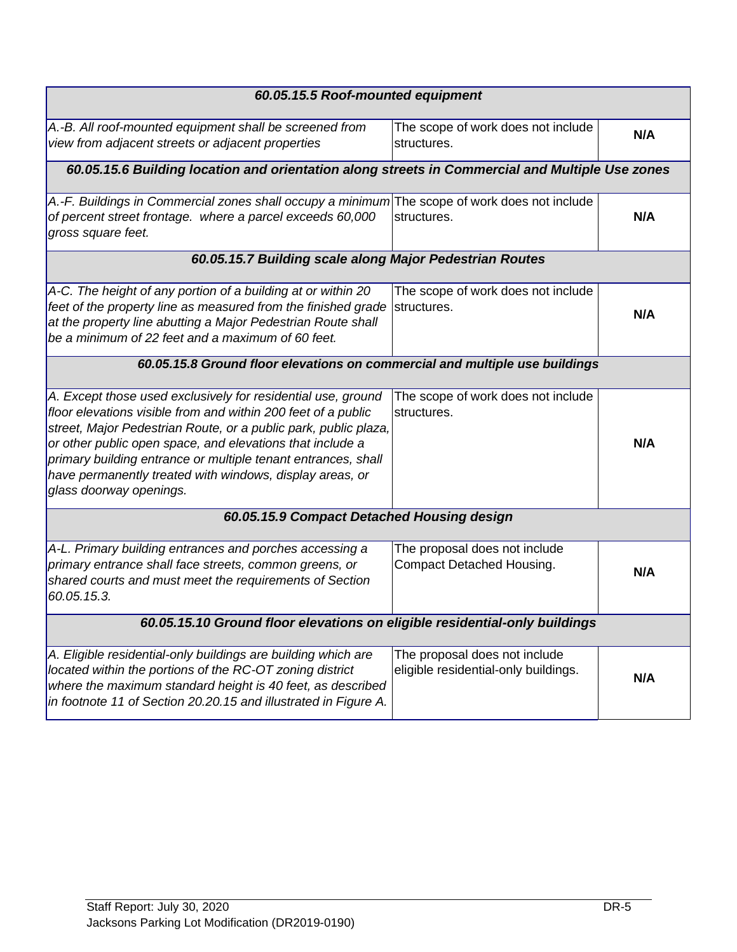| 60.05.15.5 Roof-mounted equipment                                                                                          |                                      |     |
|----------------------------------------------------------------------------------------------------------------------------|--------------------------------------|-----|
|                                                                                                                            |                                      |     |
| A.-B. All roof-mounted equipment shall be screened from                                                                    | The scope of work does not include   | N/A |
| view from adjacent streets or adjacent properties                                                                          | structures.                          |     |
| 60.05.15.6 Building location and orientation along streets in Commercial and Multiple Use zones                            |                                      |     |
| A.-F. Buildings in Commercial zones shall occupy a minimum The scope of work does not include                              |                                      |     |
| of percent street frontage. where a parcel exceeds 60,000<br>gross square feet.                                            | structures.                          | N/A |
| 60.05.15.7 Building scale along Major Pedestrian Routes                                                                    |                                      |     |
| A-C. The height of any portion of a building at or within 20                                                               | The scope of work does not include   |     |
| feet of the property line as measured from the finished grade                                                              | structures.                          | N/A |
| at the property line abutting a Major Pedestrian Route shall                                                               |                                      |     |
| be a minimum of 22 feet and a maximum of 60 feet.                                                                          |                                      |     |
| 60.05.15.8 Ground floor elevations on commercial and multiple use buildings                                                |                                      |     |
| A. Except those used exclusively for residential use, ground                                                               | The scope of work does not include   |     |
| floor elevations visible from and within 200 feet of a public                                                              | structures.                          |     |
| street, Major Pedestrian Route, or a public park, public plaza,                                                            |                                      |     |
| or other public open space, and elevations that include a<br>primary building entrance or multiple tenant entrances, shall |                                      | N/A |
| have permanently treated with windows, display areas, or                                                                   |                                      |     |
| glass doorway openings.                                                                                                    |                                      |     |
| 60.05.15.9 Compact Detached Housing design                                                                                 |                                      |     |
|                                                                                                                            |                                      |     |
| A-L. Primary building entrances and porches accessing a                                                                    | The proposal does not include        |     |
| primary entrance shall face streets, common greens, or                                                                     | Compact Detached Housing.            | N/A |
| shared courts and must meet the requirements of Section                                                                    |                                      |     |
| 60.05.15.3.                                                                                                                |                                      |     |
| 60.05.15.10 Ground floor elevations on eligible residential-only buildings                                                 |                                      |     |
| A. Eligible residential-only buildings are building which are                                                              | The proposal does not include        |     |
| located within the portions of the RC-OT zoning district                                                                   | eligible residential-only buildings. | N/A |
| where the maximum standard height is 40 feet, as described                                                                 |                                      |     |
| in footnote 11 of Section 20.20.15 and illustrated in Figure A.                                                            |                                      |     |
|                                                                                                                            |                                      |     |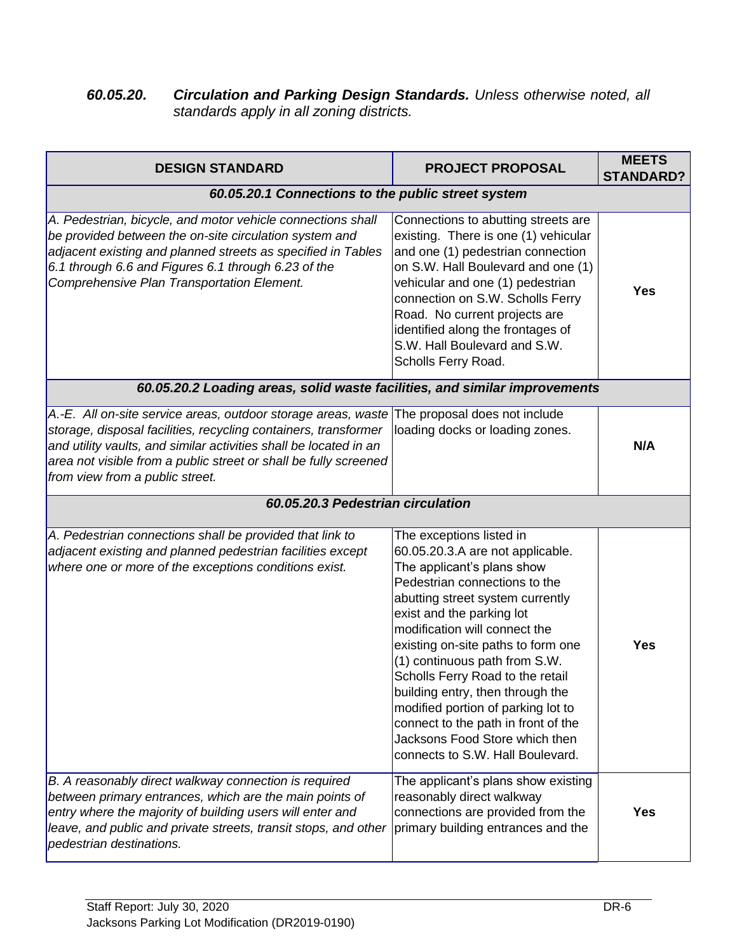#### *60.05.20. Circulation and Parking Design Standards. Unless otherwise noted, all standards apply in all zoning districts.*

| <b>DESIGN STANDARD</b>                                                                                                                                                                                                                                                                                                                     | <b>PROJECT PROPOSAL</b>                                                                                                                                                                                                                                                                                                                                                                                                                                                                                                         | <b>MEETS</b><br><b>STANDARD?</b> |
|--------------------------------------------------------------------------------------------------------------------------------------------------------------------------------------------------------------------------------------------------------------------------------------------------------------------------------------------|---------------------------------------------------------------------------------------------------------------------------------------------------------------------------------------------------------------------------------------------------------------------------------------------------------------------------------------------------------------------------------------------------------------------------------------------------------------------------------------------------------------------------------|----------------------------------|
| 60.05.20.1 Connections to the public street system                                                                                                                                                                                                                                                                                         |                                                                                                                                                                                                                                                                                                                                                                                                                                                                                                                                 |                                  |
| A. Pedestrian, bicycle, and motor vehicle connections shall<br>be provided between the on-site circulation system and<br>adjacent existing and planned streets as specified in Tables<br>6.1 through 6.6 and Figures 6.1 through 6.23 of the<br>Comprehensive Plan Transportation Element.                                                 | Connections to abutting streets are<br>existing. There is one (1) vehicular<br>and one (1) pedestrian connection<br>on S.W. Hall Boulevard and one (1)<br>vehicular and one (1) pedestrian<br>connection on S.W. Scholls Ferry<br>Road. No current projects are<br>identified along the frontages of<br>S.W. Hall Boulevard and S.W.<br>Scholls Ferry Road.                                                                                                                                                                     | Yes                              |
| 60.05.20.2 Loading areas, solid waste facilities, and similar improvements                                                                                                                                                                                                                                                                 |                                                                                                                                                                                                                                                                                                                                                                                                                                                                                                                                 |                                  |
| A.-E. All on-site service areas, outdoor storage areas, waste The proposal does not include<br>storage, disposal facilities, recycling containers, transformer<br>and utility vaults, and similar activities shall be located in an<br>area not visible from a public street or shall be fully screened<br>from view from a public street. | loading docks or loading zones.                                                                                                                                                                                                                                                                                                                                                                                                                                                                                                 | N/A                              |
| 60.05.20.3 Pedestrian circulation                                                                                                                                                                                                                                                                                                          |                                                                                                                                                                                                                                                                                                                                                                                                                                                                                                                                 |                                  |
| A. Pedestrian connections shall be provided that link to<br>adjacent existing and planned pedestrian facilities except<br>where one or more of the exceptions conditions exist.                                                                                                                                                            | The exceptions listed in<br>60.05.20.3.A are not applicable.<br>The applicant's plans show<br>Pedestrian connections to the<br>abutting street system currently<br>exist and the parking lot<br>modification will connect the<br>existing on-site paths to form one<br>(1) continuous path from S.W.<br>Scholls Ferry Road to the retail<br>building entry, then through the<br>modified portion of parking lot to<br>connect to the path in front of the<br>Jacksons Food Store which then<br>connects to S.W. Hall Boulevard. | <b>Yes</b>                       |
| B. A reasonably direct walkway connection is required<br>between primary entrances, which are the main points of<br>entry where the majority of building users will enter and<br>leave, and public and private streets, transit stops, and other<br>pedestrian destinations.                                                               | The applicant's plans show existing<br>reasonably direct walkway<br>connections are provided from the<br>primary building entrances and the                                                                                                                                                                                                                                                                                                                                                                                     | <b>Yes</b>                       |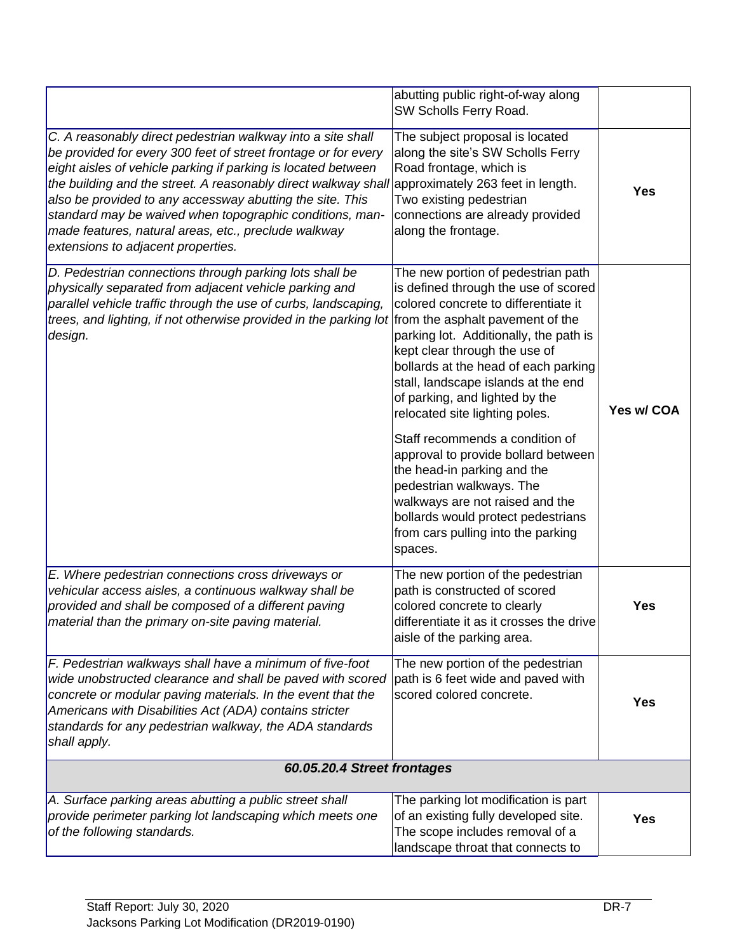|                                                                                                                                                                                                                                                                                                                                                                                                                                                                                         | abutting public right-of-way along<br>SW Scholls Ferry Road.                                                                                                                                                                                                                                                                                     |            |
|-----------------------------------------------------------------------------------------------------------------------------------------------------------------------------------------------------------------------------------------------------------------------------------------------------------------------------------------------------------------------------------------------------------------------------------------------------------------------------------------|--------------------------------------------------------------------------------------------------------------------------------------------------------------------------------------------------------------------------------------------------------------------------------------------------------------------------------------------------|------------|
| C. A reasonably direct pedestrian walkway into a site shall<br>be provided for every 300 feet of street frontage or for every<br>eight aisles of vehicle parking if parking is located between<br>the building and the street. A reasonably direct walkway shall<br>also be provided to any accessway abutting the site. This<br>standard may be waived when topographic conditions, man-<br>made features, natural areas, etc., preclude walkway<br>extensions to adjacent properties. | The subject proposal is located<br>along the site's SW Scholls Ferry<br>Road frontage, which is<br>approximately 263 feet in length.<br>Two existing pedestrian<br>connections are already provided<br>along the frontage.                                                                                                                       | <b>Yes</b> |
| D. Pedestrian connections through parking lots shall be<br>physically separated from adjacent vehicle parking and<br>parallel vehicle traffic through the use of curbs, landscaping,<br>trees, and lighting, if not otherwise provided in the parking lot from the asphalt pavement of the<br>design.                                                                                                                                                                                   | The new portion of pedestrian path<br>is defined through the use of scored<br>colored concrete to differentiate it<br>parking lot. Additionally, the path is<br>kept clear through the use of<br>bollards at the head of each parking<br>stall, landscape islands at the end<br>of parking, and lighted by the<br>relocated site lighting poles. | Yes w/ COA |
|                                                                                                                                                                                                                                                                                                                                                                                                                                                                                         | Staff recommends a condition of<br>approval to provide bollard between<br>the head-in parking and the<br>pedestrian walkways. The<br>walkways are not raised and the<br>bollards would protect pedestrians<br>from cars pulling into the parking<br>spaces.                                                                                      |            |
| E. Where pedestrian connections cross driveways or<br>vehicular access aisles, a continuous walkway shall be<br>provided and shall be composed of a different paving<br>material than the primary on-site paving material.                                                                                                                                                                                                                                                              | The new portion of the pedestrian<br>path is constructed of scored<br>colored concrete to clearly<br>differentiate it as it crosses the drive<br>aisle of the parking area.                                                                                                                                                                      | <b>Yes</b> |
| F. Pedestrian walkways shall have a minimum of five-foot<br>wide unobstructed clearance and shall be paved with scored<br>concrete or modular paving materials. In the event that the<br>Americans with Disabilities Act (ADA) contains stricter<br>standards for any pedestrian walkway, the ADA standards<br>shall apply.                                                                                                                                                             | The new portion of the pedestrian<br>path is 6 feet wide and paved with<br>scored colored concrete.                                                                                                                                                                                                                                              | <b>Yes</b> |
| 60.05.20.4 Street frontages                                                                                                                                                                                                                                                                                                                                                                                                                                                             |                                                                                                                                                                                                                                                                                                                                                  |            |
| A. Surface parking areas abutting a public street shall<br>provide perimeter parking lot landscaping which meets one<br>of the following standards.                                                                                                                                                                                                                                                                                                                                     | The parking lot modification is part<br>of an existing fully developed site.<br>The scope includes removal of a<br>landscape throat that connects to                                                                                                                                                                                             | <b>Yes</b> |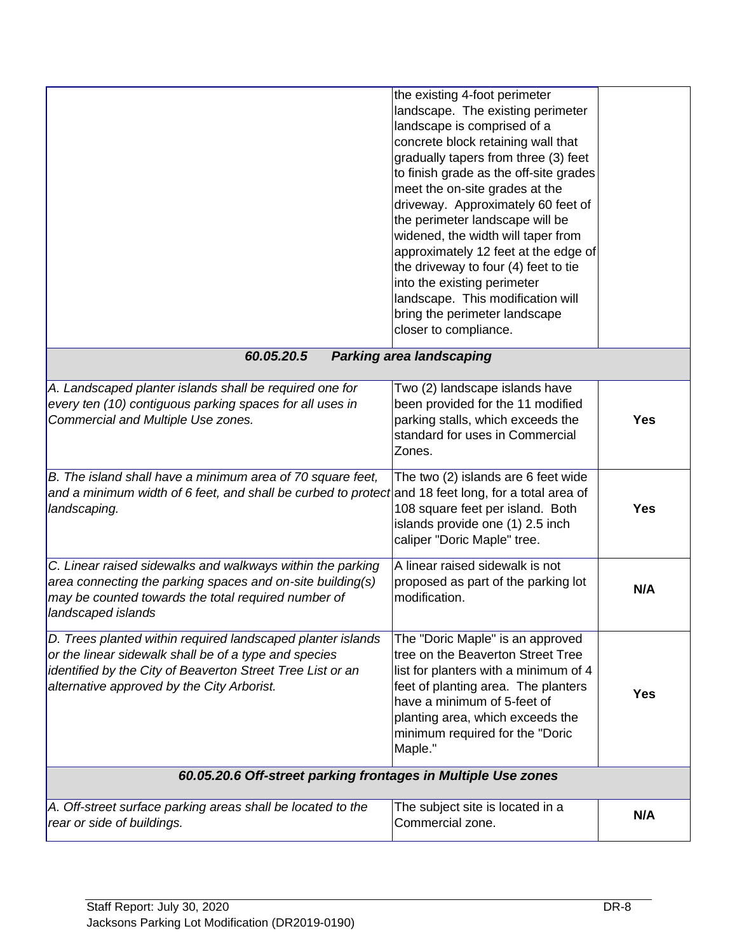|                                                                                                                                                                                                                                  | the existing 4-foot perimeter<br>landscape. The existing perimeter<br>landscape is comprised of a<br>concrete block retaining wall that<br>gradually tapers from three (3) feet<br>to finish grade as the off-site grades<br>meet the on-site grades at the<br>driveway. Approximately 60 feet of<br>the perimeter landscape will be<br>widened, the width will taper from<br>approximately 12 feet at the edge of<br>the driveway to four (4) feet to tie<br>into the existing perimeter<br>landscape. This modification will<br>bring the perimeter landscape<br>closer to compliance. |            |
|----------------------------------------------------------------------------------------------------------------------------------------------------------------------------------------------------------------------------------|------------------------------------------------------------------------------------------------------------------------------------------------------------------------------------------------------------------------------------------------------------------------------------------------------------------------------------------------------------------------------------------------------------------------------------------------------------------------------------------------------------------------------------------------------------------------------------------|------------|
| 60.05.20.5                                                                                                                                                                                                                       | <b>Parking area landscaping</b>                                                                                                                                                                                                                                                                                                                                                                                                                                                                                                                                                          |            |
| A. Landscaped planter islands shall be required one for<br>every ten (10) contiguous parking spaces for all uses in<br>Commercial and Multiple Use zones.                                                                        | Two (2) landscape islands have<br>been provided for the 11 modified<br>parking stalls, which exceeds the<br>standard for uses in Commercial<br>Zones.                                                                                                                                                                                                                                                                                                                                                                                                                                    | <b>Yes</b> |
| B. The island shall have a minimum area of 70 square feet,<br>and a minimum width of 6 feet, and shall be curbed to protect and 18 feet long, for a total area of<br>landscaping.                                                | The two (2) islands are 6 feet wide<br>108 square feet per island. Both<br>islands provide one (1) 2.5 inch<br>caliper "Doric Maple" tree.                                                                                                                                                                                                                                                                                                                                                                                                                                               | <b>Yes</b> |
| C. Linear raised sidewalks and walkways within the parking<br>area connecting the parking spaces and on-site building(s)<br>may be counted towards the total required number of<br>landscaped islands                            | A linear raised sidewalk is not<br>proposed as part of the parking lot<br>modification.                                                                                                                                                                                                                                                                                                                                                                                                                                                                                                  | N/A        |
| D. Trees planted within required landscaped planter islands<br>or the linear sidewalk shall be of a type and species<br>identified by the City of Beaverton Street Tree List or an<br>alternative approved by the City Arborist. | The "Doric Maple" is an approved<br>tree on the Beaverton Street Tree<br>list for planters with a minimum of 4<br>feet of planting area. The planters<br>have a minimum of 5-feet of<br>planting area, which exceeds the<br>minimum required for the "Doric<br>Maple."                                                                                                                                                                                                                                                                                                                   | <b>Yes</b> |
| 60.05.20.6 Off-street parking frontages in Multiple Use zones                                                                                                                                                                    |                                                                                                                                                                                                                                                                                                                                                                                                                                                                                                                                                                                          |            |
| A. Off-street surface parking areas shall be located to the<br>rear or side of buildings.                                                                                                                                        | The subject site is located in a<br>Commercial zone.                                                                                                                                                                                                                                                                                                                                                                                                                                                                                                                                     | N/A        |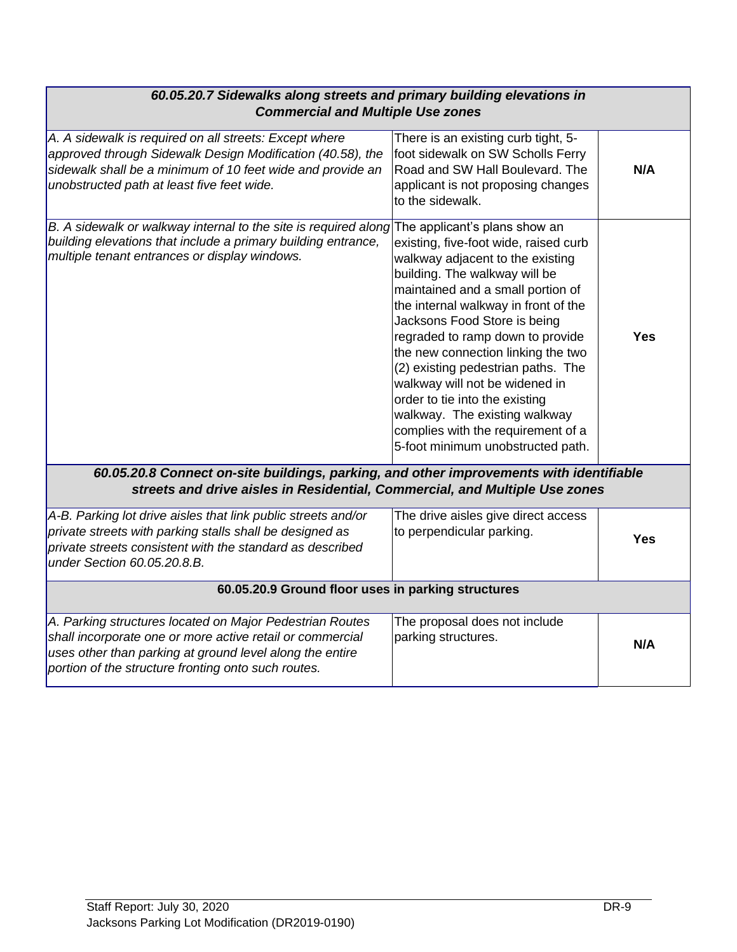| 60.05.20.7 Sidewalks along streets and primary building elevations in<br><b>Commercial and Multiple Use zones</b>                                                                                                                        |                                                                                                                                                                                                                                                                                                                                                                                                                                                                                                                         |            |
|------------------------------------------------------------------------------------------------------------------------------------------------------------------------------------------------------------------------------------------|-------------------------------------------------------------------------------------------------------------------------------------------------------------------------------------------------------------------------------------------------------------------------------------------------------------------------------------------------------------------------------------------------------------------------------------------------------------------------------------------------------------------------|------------|
| A. A sidewalk is required on all streets: Except where<br>approved through Sidewalk Design Modification (40.58), the<br>sidewalk shall be a minimum of 10 feet wide and provide an<br>unobstructed path at least five feet wide.         | There is an existing curb tight, 5-<br>foot sidewalk on SW Scholls Ferry<br>Road and SW Hall Boulevard. The<br>applicant is not proposing changes<br>to the sidewalk.                                                                                                                                                                                                                                                                                                                                                   | N/A        |
| B. A sidewalk or walkway internal to the site is required along The applicant's plans show an<br>building elevations that include a primary building entrance,<br>multiple tenant entrances or display windows.                          | existing, five-foot wide, raised curb<br>walkway adjacent to the existing<br>building. The walkway will be<br>maintained and a small portion of<br>the internal walkway in front of the<br>Jacksons Food Store is being<br>regraded to ramp down to provide<br>the new connection linking the two<br>(2) existing pedestrian paths. The<br>walkway will not be widened in<br>order to tie into the existing<br>walkway. The existing walkway<br>complies with the requirement of a<br>5-foot minimum unobstructed path. | <b>Yes</b> |
| 60.05.20.8 Connect on-site buildings, parking, and other improvements with identifiable<br>streets and drive aisles in Residential, Commercial, and Multiple Use zones                                                                   |                                                                                                                                                                                                                                                                                                                                                                                                                                                                                                                         |            |
| A-B. Parking lot drive aisles that link public streets and/or<br>private streets with parking stalls shall be designed as<br>private streets consistent with the standard as described<br>under Section 60.05.20.8.B.                    | The drive aisles give direct access<br>to perpendicular parking.                                                                                                                                                                                                                                                                                                                                                                                                                                                        | <b>Yes</b> |
| 60.05.20.9 Ground floor uses in parking structures                                                                                                                                                                                       |                                                                                                                                                                                                                                                                                                                                                                                                                                                                                                                         |            |
| A. Parking structures located on Major Pedestrian Routes<br>shall incorporate one or more active retail or commercial<br>uses other than parking at ground level along the entire<br>portion of the structure fronting onto such routes. | The proposal does not include<br>parking structures.                                                                                                                                                                                                                                                                                                                                                                                                                                                                    | N/A        |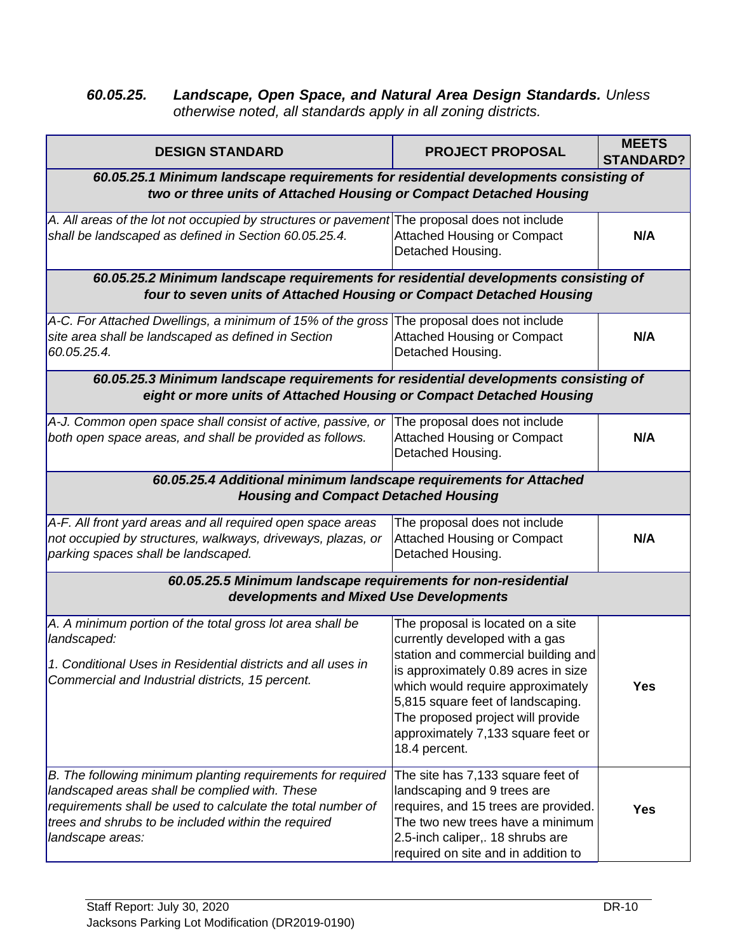#### *60.05.25. Landscape, Open Space, and Natural Area Design Standards. Unless otherwise noted, all standards apply in all zoning districts.*

| <b>DESIGN STANDARD</b>                                                                                                                                                                                                                                  | <b>PROJECT PROPOSAL</b>                                                                                                                                                                                                                                                                                                 | <b>MEETS</b><br><b>STANDARD?</b> |
|---------------------------------------------------------------------------------------------------------------------------------------------------------------------------------------------------------------------------------------------------------|-------------------------------------------------------------------------------------------------------------------------------------------------------------------------------------------------------------------------------------------------------------------------------------------------------------------------|----------------------------------|
| 60.05.25.1 Minimum landscape requirements for residential developments consisting of<br>two or three units of Attached Housing or Compact Detached Housing                                                                                              |                                                                                                                                                                                                                                                                                                                         |                                  |
| A. All areas of the lot not occupied by structures or pavement The proposal does not include<br>shall be landscaped as defined in Section 60.05.25.4.                                                                                                   | <b>Attached Housing or Compact</b><br>Detached Housing.                                                                                                                                                                                                                                                                 | N/A                              |
| 60.05.25.2 Minimum landscape requirements for residential developments consisting of<br>four to seven units of Attached Housing or Compact Detached Housing                                                                                             |                                                                                                                                                                                                                                                                                                                         |                                  |
| A-C. For Attached Dwellings, a minimum of 15% of the gross<br>site area shall be landscaped as defined in Section<br>60.05.25.4.                                                                                                                        | The proposal does not include<br><b>Attached Housing or Compact</b><br>Detached Housing.                                                                                                                                                                                                                                | N/A                              |
| 60.05.25.3 Minimum landscape requirements for residential developments consisting of<br>eight or more units of Attached Housing or Compact Detached Housing                                                                                             |                                                                                                                                                                                                                                                                                                                         |                                  |
| A-J. Common open space shall consist of active, passive, or<br>both open space areas, and shall be provided as follows.                                                                                                                                 | The proposal does not include<br><b>Attached Housing or Compact</b><br>Detached Housing.                                                                                                                                                                                                                                | N/A                              |
| 60.05.25.4 Additional minimum landscape requirements for Attached<br><b>Housing and Compact Detached Housing</b>                                                                                                                                        |                                                                                                                                                                                                                                                                                                                         |                                  |
| A-F. All front yard areas and all required open space areas<br>not occupied by structures, walkways, driveways, plazas, or<br>parking spaces shall be landscaped.                                                                                       | The proposal does not include<br><b>Attached Housing or Compact</b><br>Detached Housing.                                                                                                                                                                                                                                | N/A                              |
| 60.05.25.5 Minimum landscape requirements for non-residential<br>developments and Mixed Use Developments                                                                                                                                                |                                                                                                                                                                                                                                                                                                                         |                                  |
| A. A minimum portion of the total gross lot area shall be<br>landscaped:<br>1. Conditional Uses in Residential districts and all uses in<br>Commercial and Industrial districts, 15 percent.                                                            | The proposal is located on a site<br>currently developed with a gas<br>station and commercial building and<br>is approximately 0.89 acres in size<br>which would require approximately<br>5,815 square feet of landscaping.<br>The proposed project will provide<br>approximately 7,133 square feet or<br>18.4 percent. | <b>Yes</b>                       |
| B. The following minimum planting requirements for required<br>landscaped areas shall be complied with. These<br>requirements shall be used to calculate the total number of<br>trees and shrubs to be included within the required<br>landscape areas: | The site has 7,133 square feet of<br>landscaping and 9 trees are<br>requires, and 15 trees are provided.<br>The two new trees have a minimum<br>2.5-inch caliper,. 18 shrubs are<br>required on site and in addition to                                                                                                 | <b>Yes</b>                       |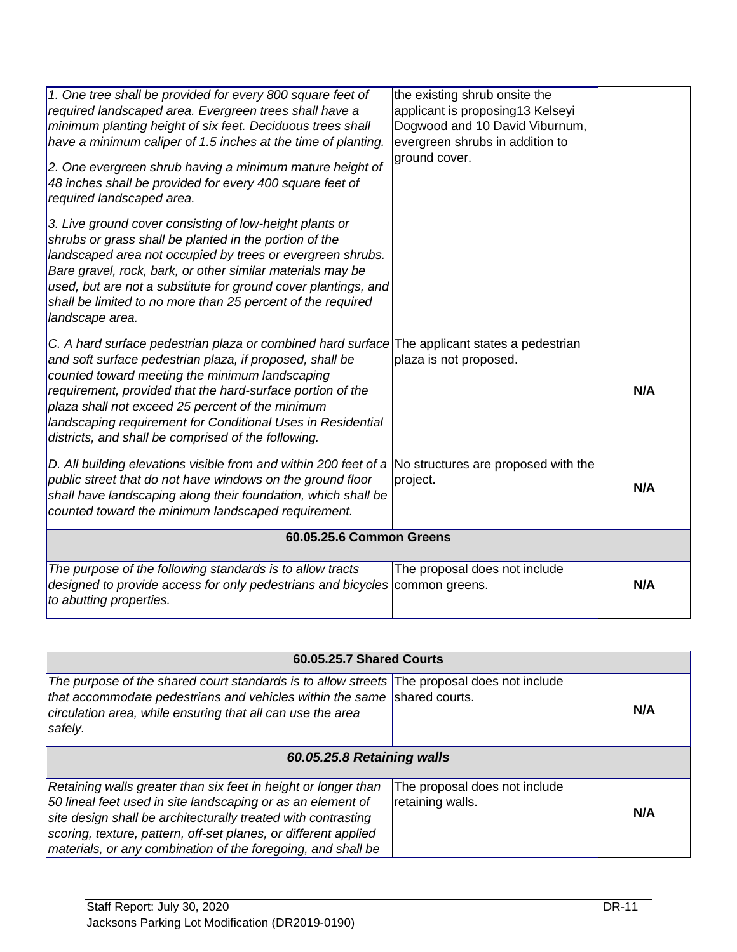| 1. One tree shall be provided for every 800 square feet of<br>required landscaped area. Evergreen trees shall have a<br>minimum planting height of six feet. Deciduous trees shall<br>have a minimum caliper of 1.5 inches at the time of planting.<br>2. One evergreen shrub having a minimum mature height of<br>48 inches shall be provided for every 400 square feet of<br>required landscaped area.                                            | the existing shrub onsite the<br>applicant is proposing13 Kelseyi<br>Dogwood and 10 David Viburnum,<br>evergreen shrubs in addition to<br>ground cover. |     |
|-----------------------------------------------------------------------------------------------------------------------------------------------------------------------------------------------------------------------------------------------------------------------------------------------------------------------------------------------------------------------------------------------------------------------------------------------------|---------------------------------------------------------------------------------------------------------------------------------------------------------|-----|
| 3. Live ground cover consisting of low-height plants or<br>shrubs or grass shall be planted in the portion of the<br>landscaped area not occupied by trees or evergreen shrubs.<br>Bare gravel, rock, bark, or other similar materials may be<br>used, but are not a substitute for ground cover plantings, and<br>shall be limited to no more than 25 percent of the required<br>landscape area.                                                   |                                                                                                                                                         |     |
| C. A hard surface pedestrian plaza or combined hard surface The applicant states a pedestrian<br>and soft surface pedestrian plaza, if proposed, shall be<br>counted toward meeting the minimum landscaping<br>requirement, provided that the hard-surface portion of the<br>plaza shall not exceed 25 percent of the minimum<br>landscaping requirement for Conditional Uses in Residential<br>districts, and shall be comprised of the following. | plaza is not proposed.                                                                                                                                  | N/A |
| D. All building elevations visible from and within 200 feet of a<br>public street that do not have windows on the ground floor<br>shall have landscaping along their foundation, which shall be<br>counted toward the minimum landscaped requirement.                                                                                                                                                                                               | No structures are proposed with the<br>project.                                                                                                         | N/A |
| 60.05.25.6 Common Greens                                                                                                                                                                                                                                                                                                                                                                                                                            |                                                                                                                                                         |     |
| The purpose of the following standards is to allow tracts<br>designed to provide access for only pedestrians and bicycles<br>to abutting properties.                                                                                                                                                                                                                                                                                                | The proposal does not include<br>common greens.                                                                                                         | N/A |

| <b>60.05.25.7 Shared Courts</b>                                                                                                                                                                                                                                                                                                   |                                                   |     |
|-----------------------------------------------------------------------------------------------------------------------------------------------------------------------------------------------------------------------------------------------------------------------------------------------------------------------------------|---------------------------------------------------|-----|
| The purpose of the shared court standards is to allow streets The proposal does not include<br>that accommodate pedestrians and vehicles within the same shared courts.<br>circulation area, while ensuring that all can use the area<br>safely.                                                                                  |                                                   | N/A |
| 60.05.25.8 Retaining walls                                                                                                                                                                                                                                                                                                        |                                                   |     |
| Retaining walls greater than six feet in height or longer than<br>50 lineal feet used in site landscaping or as an element of<br>site design shall be architecturally treated with contrasting<br>scoring, texture, pattern, off-set planes, or different applied<br>materials, or any combination of the foregoing, and shall be | The proposal does not include<br>retaining walls. | N/A |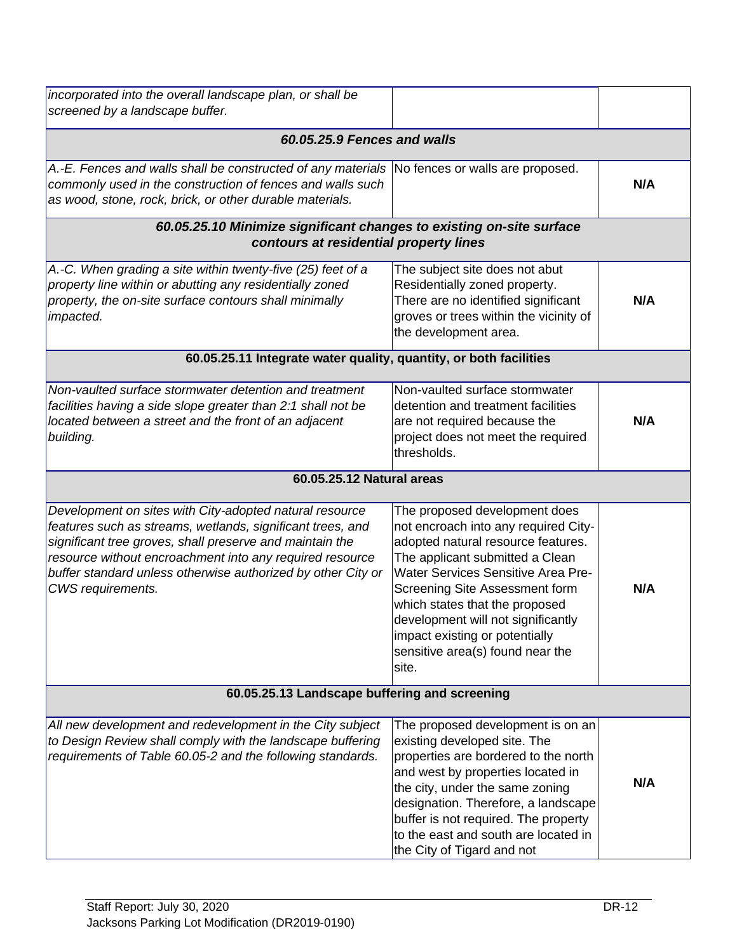| incorporated into the overall landscape plan, or shall be<br>screened by a landscape buffer.                                                                                                                                                                                                                                       |                                                                                                                                                                                                                                                                                                                                                                                      |     |
|------------------------------------------------------------------------------------------------------------------------------------------------------------------------------------------------------------------------------------------------------------------------------------------------------------------------------------|--------------------------------------------------------------------------------------------------------------------------------------------------------------------------------------------------------------------------------------------------------------------------------------------------------------------------------------------------------------------------------------|-----|
| 60.05.25.9 Fences and walls                                                                                                                                                                                                                                                                                                        |                                                                                                                                                                                                                                                                                                                                                                                      |     |
| A.-E. Fences and walls shall be constructed of any materials No fences or walls are proposed.<br>commonly used in the construction of fences and walls such<br>as wood, stone, rock, brick, or other durable materials.                                                                                                            |                                                                                                                                                                                                                                                                                                                                                                                      | N/A |
| 60.05.25.10 Minimize significant changes to existing on-site surface<br>contours at residential property lines                                                                                                                                                                                                                     |                                                                                                                                                                                                                                                                                                                                                                                      |     |
| A.-C. When grading a site within twenty-five (25) feet of a<br>property line within or abutting any residentially zoned<br>property, the on-site surface contours shall minimally<br>impacted.                                                                                                                                     | The subject site does not abut<br>Residentially zoned property.<br>There are no identified significant<br>groves or trees within the vicinity of<br>the development area.                                                                                                                                                                                                            | N/A |
| 60.05.25.11 Integrate water quality, quantity, or both facilities                                                                                                                                                                                                                                                                  |                                                                                                                                                                                                                                                                                                                                                                                      |     |
| Non-vaulted surface stormwater detention and treatment<br>facilities having a side slope greater than 2:1 shall not be<br>located between a street and the front of an adjacent<br>building.                                                                                                                                       | Non-vaulted surface stormwater<br>detention and treatment facilities<br>are not required because the<br>project does not meet the required<br>thresholds.                                                                                                                                                                                                                            | N/A |
| 60.05.25.12 Natural areas                                                                                                                                                                                                                                                                                                          |                                                                                                                                                                                                                                                                                                                                                                                      |     |
| Development on sites with City-adopted natural resource<br>features such as streams, wetlands, significant trees, and<br>significant tree groves, shall preserve and maintain the<br>resource without encroachment into any required resource<br>buffer standard unless otherwise authorized by other City or<br>CWS requirements. | The proposed development does<br>not encroach into any required City-<br>adopted natural resource features.<br>The applicant submitted a Clean<br><b>Water Services Sensitive Area Pre-</b><br>Screening Site Assessment form<br>which states that the proposed<br>development will not significantly<br>impact existing or potentially<br>sensitive area(s) found near the<br>site. | N/A |
| 60.05.25.13 Landscape buffering and screening                                                                                                                                                                                                                                                                                      |                                                                                                                                                                                                                                                                                                                                                                                      |     |
| All new development and redevelopment in the City subject<br>to Design Review shall comply with the landscape buffering<br>requirements of Table 60.05-2 and the following standards.                                                                                                                                              | The proposed development is on an<br>existing developed site. The<br>properties are bordered to the north<br>and west by properties located in<br>the city, under the same zoning<br>designation. Therefore, a landscape<br>buffer is not required. The property<br>to the east and south are located in<br>the City of Tigard and not                                               | N/A |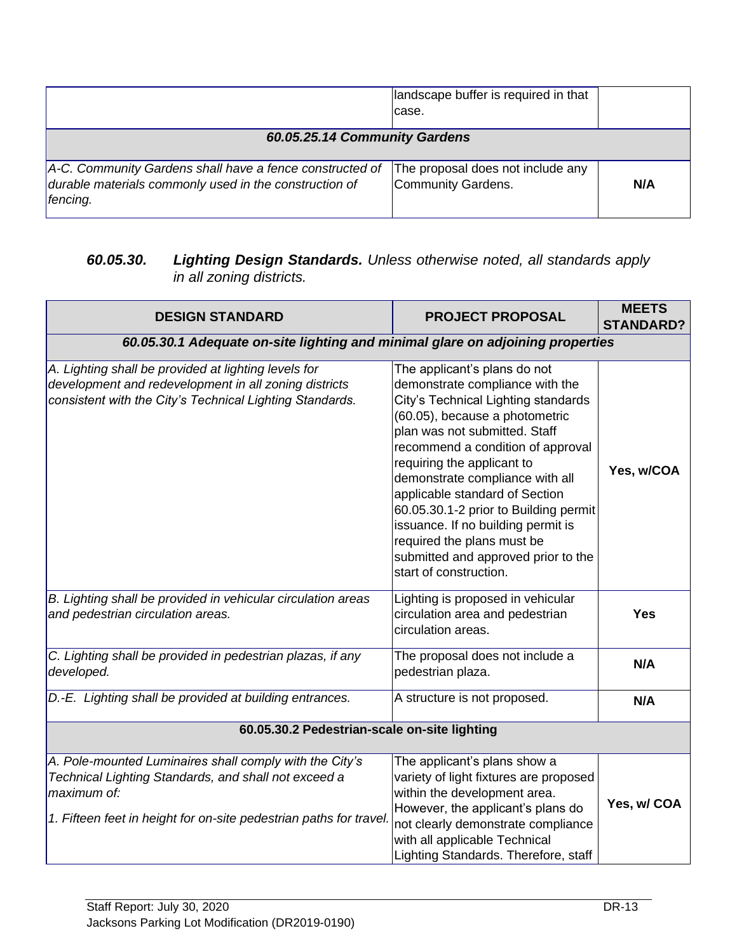|                                                                                                                                | landscape buffer is required in that<br>case.           |     |
|--------------------------------------------------------------------------------------------------------------------------------|---------------------------------------------------------|-----|
| 60.05.25.14 Community Gardens                                                                                                  |                                                         |     |
| A-C. Community Gardens shall have a fence constructed of<br>durable materials commonly used in the construction of<br>fencing. | The proposal does not include any<br>Community Gardens. | N/A |

## *60.05.30. Lighting Design Standards. Unless otherwise noted, all standards apply in all zoning districts.*

| <b>DESIGN STANDARD</b>                                                                                                                                                                               | <b>PROJECT PROPOSAL</b>                                                                                                                                                                                                                                                                                                                                                                                                                                                                         | <b>MEETS</b><br><b>STANDARD?</b> |
|------------------------------------------------------------------------------------------------------------------------------------------------------------------------------------------------------|-------------------------------------------------------------------------------------------------------------------------------------------------------------------------------------------------------------------------------------------------------------------------------------------------------------------------------------------------------------------------------------------------------------------------------------------------------------------------------------------------|----------------------------------|
| 60.05.30.1 Adequate on-site lighting and minimal glare on adjoining properties                                                                                                                       |                                                                                                                                                                                                                                                                                                                                                                                                                                                                                                 |                                  |
| A. Lighting shall be provided at lighting levels for<br>development and redevelopment in all zoning districts<br>consistent with the City's Technical Lighting Standards.                            | The applicant's plans do not<br>demonstrate compliance with the<br>City's Technical Lighting standards<br>(60.05), because a photometric<br>plan was not submitted. Staff<br>recommend a condition of approval<br>requiring the applicant to<br>demonstrate compliance with all<br>applicable standard of Section<br>60.05.30.1-2 prior to Building permit<br>issuance. If no building permit is<br>required the plans must be<br>submitted and approved prior to the<br>start of construction. | Yes, w/COA                       |
| B. Lighting shall be provided in vehicular circulation areas<br>and pedestrian circulation areas.                                                                                                    | Lighting is proposed in vehicular<br>circulation area and pedestrian<br>circulation areas.                                                                                                                                                                                                                                                                                                                                                                                                      | <b>Yes</b>                       |
| C. Lighting shall be provided in pedestrian plazas, if any<br>developed.                                                                                                                             | The proposal does not include a<br>pedestrian plaza.                                                                                                                                                                                                                                                                                                                                                                                                                                            | N/A                              |
| D.-E. Lighting shall be provided at building entrances.                                                                                                                                              | A structure is not proposed.                                                                                                                                                                                                                                                                                                                                                                                                                                                                    | N/A                              |
| 60.05.30.2 Pedestrian-scale on-site lighting                                                                                                                                                         |                                                                                                                                                                                                                                                                                                                                                                                                                                                                                                 |                                  |
| A. Pole-mounted Luminaires shall comply with the City's<br>Technical Lighting Standards, and shall not exceed a<br>maximum of:<br>1. Fifteen feet in height for on-site pedestrian paths for travel. | The applicant's plans show a<br>variety of light fixtures are proposed<br>within the development area.<br>However, the applicant's plans do<br>not clearly demonstrate compliance<br>with all applicable Technical<br>Lighting Standards. Therefore, staff                                                                                                                                                                                                                                      | Yes, w/COA                       |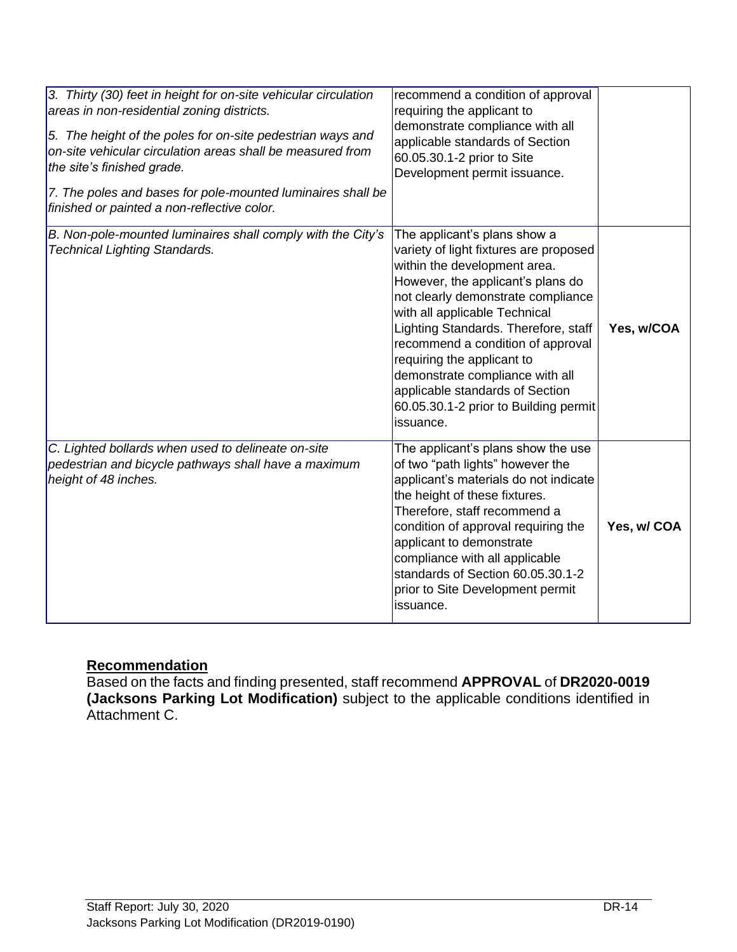| 3. Thirty (30) feet in height for on-site vehicular circulation<br>areas in non-residential zoning districts.<br>5. The height of the poles for on-site pedestrian ways and<br>on-site vehicular circulation areas shall be measured from<br>the site's finished grade.<br>7. The poles and bases for pole-mounted luminaires shall be<br>finished or painted a non-reflective color. | recommend a condition of approval<br>requiring the applicant to<br>demonstrate compliance with all<br>applicable standards of Section<br>60.05.30.1-2 prior to Site<br>Development permit issuance.                                                                                                                                                                                                                                                       |             |
|---------------------------------------------------------------------------------------------------------------------------------------------------------------------------------------------------------------------------------------------------------------------------------------------------------------------------------------------------------------------------------------|-----------------------------------------------------------------------------------------------------------------------------------------------------------------------------------------------------------------------------------------------------------------------------------------------------------------------------------------------------------------------------------------------------------------------------------------------------------|-------------|
| B. Non-pole-mounted luminaires shall comply with the City's<br><b>Technical Lighting Standards.</b>                                                                                                                                                                                                                                                                                   | The applicant's plans show a<br>variety of light fixtures are proposed<br>within the development area.<br>However, the applicant's plans do<br>not clearly demonstrate compliance<br>with all applicable Technical<br>Lighting Standards. Therefore, staff<br>recommend a condition of approval<br>requiring the applicant to<br>demonstrate compliance with all<br>applicable standards of Section<br>60.05.30.1-2 prior to Building permit<br>issuance. | Yes, w/COA  |
| C. Lighted bollards when used to delineate on-site<br>pedestrian and bicycle pathways shall have a maximum<br>height of 48 inches.                                                                                                                                                                                                                                                    | The applicant's plans show the use<br>of two "path lights" however the<br>applicant's materials do not indicate<br>the height of these fixtures.<br>Therefore, staff recommend a<br>condition of approval requiring the<br>applicant to demonstrate<br>compliance with all applicable<br>standards of Section 60.05.30.1-2<br>prior to Site Development permit<br>issuance.                                                                               | Yes, w/ COA |

#### **Recommendation**

Based on the facts and finding presented, staff recommend **APPROVAL** of **DR2020-0019 (Jacksons Parking Lot Modification)** subject to the applicable conditions identified in Attachment C.